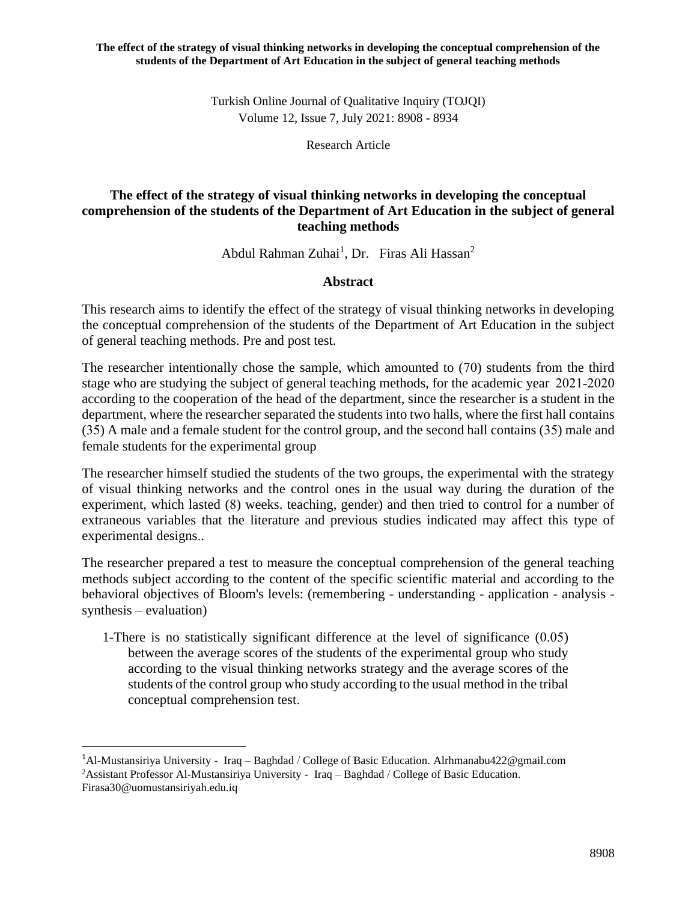Turkish Online Journal of Qualitative Inquiry (TOJQI) Volume 12, Issue 7, July 2021: 8908 - 8934

Research Article

# **The effect of the strategy of visual thinking networks in developing the conceptual comprehension of the students of the Department of Art Education in the subject of general teaching methods**

Abdul Rahman Zuhai<sup>1</sup>, Dr. Firas Ali Hassan<sup>2</sup>

## **Abstract**

This research aims to identify the effect of the strategy of visual thinking networks in developing the conceptual comprehension of the students of the Department of Art Education in the subject of general teaching methods. Pre and post test.

The researcher intentionally chose the sample, which amounted to (70) students from the third stage who are studying the subject of general teaching methods, for the academic year 2021-2020 according to the cooperation of the head of the department, since the researcher is a student in the department, where the researcher separated the students into two halls, where the first hall contains (35) A male and a female student for the control group, and the second hall contains (35) male and female students for the experimental group

The researcher himself studied the students of the two groups, the experimental with the strategy of visual thinking networks and the control ones in the usual way during the duration of the experiment, which lasted (8) weeks. teaching, gender) and then tried to control for a number of extraneous variables that the literature and previous studies indicated may affect this type of experimental designs..

The researcher prepared a test to measure the conceptual comprehension of the general teaching methods subject according to the content of the specific scientific material and according to the behavioral objectives of Bloom's levels: (remembering - understanding - application - analysis synthesis – evaluation)

1-There is no statistically significant difference at the level of significance (0.05) between the average scores of the students of the experimental group who study according to the visual thinking networks strategy and the average scores of the students of the control group who study according to the usual method in the tribal conceptual comprehension test.

<sup>1</sup>Al-Mustansiriya University - Iraq – Baghdad / College of Basic Education. [Alrhmanabu422@gmail.com](mailto:Alrhmanabu422@gmail.com) <sup>2</sup>Assistant Professor Al-Mustansiriya University - Iraq – Baghdad / College of Basic Education. [Firasa30@uomustansiriyah.edu.iq](mailto:Firasa30@uomustansiriyah.edu.iq)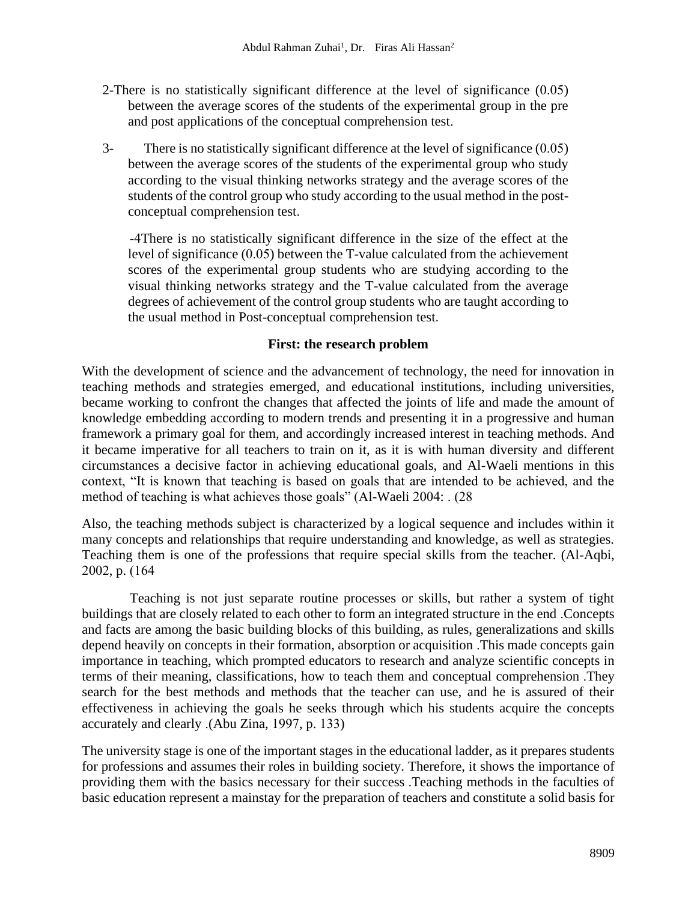- 2-There is no statistically significant difference at the level of significance (0.05) between the average scores of the students of the experimental group in the pre and post applications of the conceptual comprehension test.
- 3- There is no statistically significant difference at the level of significance (0.05) between the average scores of the students of the experimental group who study according to the visual thinking networks strategy and the average scores of the students of the control group who study according to the usual method in the postconceptual comprehension test.

-4There is no statistically significant difference in the size of the effect at the level of significance (0.05) between the T-value calculated from the achievement scores of the experimental group students who are studying according to the visual thinking networks strategy and the T-value calculated from the average degrees of achievement of the control group students who are taught according to the usual method in Post-conceptual comprehension test.

## **First: the research problem**

With the development of science and the advancement of technology, the need for innovation in teaching methods and strategies emerged, and educational institutions, including universities, became working to confront the changes that affected the joints of life and made the amount of knowledge embedding according to modern trends and presenting it in a progressive and human framework a primary goal for them, and accordingly increased interest in teaching methods. And it became imperative for all teachers to train on it, as it is with human diversity and different circumstances a decisive factor in achieving educational goals, and Al-Waeli mentions in this context, "It is known that teaching is based on goals that are intended to be achieved, and the method of teaching is what achieves those goals" (Al-Waeli 2004: . (28)

Also, the teaching methods subject is characterized by a logical sequence and includes within it many concepts and relationships that require understanding and knowledge, as well as strategies. Teaching them is one of the professions that require special skills from the teacher. (Al-Aqbi, 2002, p. (164)

Teaching is not just separate routine processes or skills, but rather a system of tight buildings that are closely related to each other to form an integrated structure in the end .Concepts and facts are among the basic building blocks of this building, as rules, generalizations and skills depend heavily on concepts in their formation, absorption or acquisition .This made concepts gain importance in teaching, which prompted educators to research and analyze scientific concepts in terms of their meaning, classifications, how to teach them and conceptual comprehension .They search for the best methods and methods that the teacher can use, and he is assured of their effectiveness in achieving the goals he seeks through which his students acquire the concepts accurately and clearly .(Abu Zina, 1997, p. 133)

The university stage is one of the important stages in the educational ladder, as it prepares students for professions and assumes their roles in building society. Therefore, it shows the importance of providing them with the basics necessary for their success .Teaching methods in the faculties of basic education represent a mainstay for the preparation of teachers and constitute a solid basis for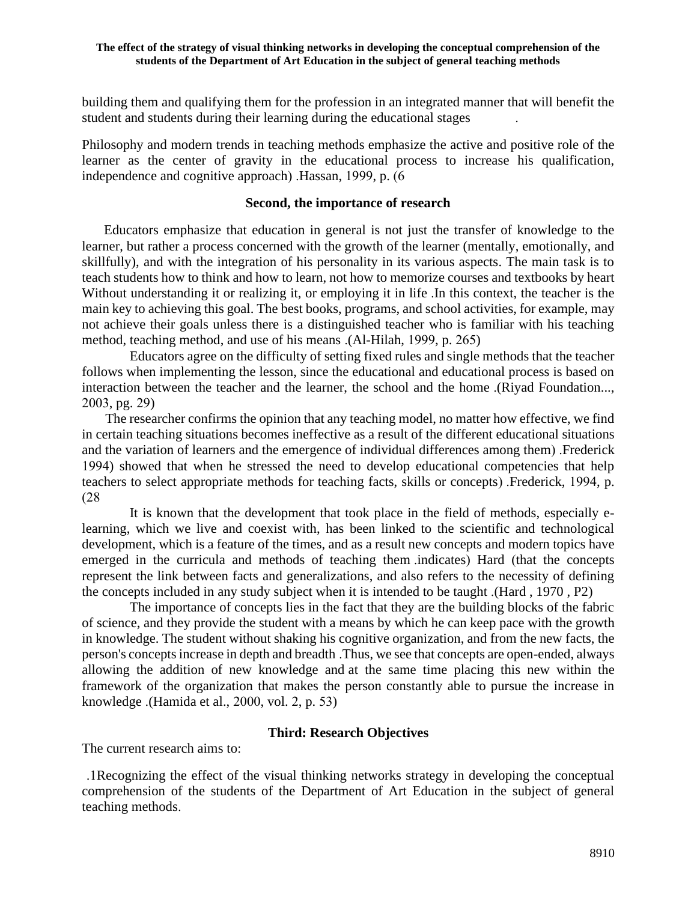building them and qualifying them for the profession in an integrated manner that will benefit the student and students during their learning during the educational stages .

Philosophy and modern trends in teaching methods emphasize the active and positive role of the learner as the center of gravity in the educational process to increase his qualification, independence and cognitive approach)  $Hassan$ , 1999, p.  $(6$ 

#### **Second, the importance of research**

 Educators emphasize that education in general is not just the transfer of knowledge to the learner, but rather a process concerned with the growth of the learner (mentally, emotionally, and skillfully), and with the integration of his personality in its various aspects. The main task is to teach students how to think and how to learn, not how to memorize courses and textbooks by heart Without understanding it or realizing it, or employing it in life .In this context, the teacher is the main key to achieving this goal. The best books, programs, and school activities, for example, may not achieve their goals unless there is a distinguished teacher who is familiar with his teaching method, teaching method, and use of his means .(Al-Hilah, 1999, p. 265)

Educators agree on the difficulty of setting fixed rules and single methods that the teacher follows when implementing the lesson, since the educational and educational process is based on interaction between the teacher and the learner, the school and the home .(Riyad Foundation..., 2003, pg. 29)

 The researcher confirms the opinion that any teaching model, no matter how effective, we find in certain teaching situations becomes ineffective as a result of the different educational situations and the variation of learners and the emergence of individual differences among them). Frederick 1994) showed that when he stressed the need to develop educational competencies that help teachers to select appropriate methods for teaching facts, skills or concepts). Frederick, 1994, p. )28

It is known that the development that took place in the field of methods, especially elearning, which we live and coexist with, has been linked to the scientific and technological development, which is a feature of the times, and as a result new concepts and modern topics have emerged in the curricula and methods of teaching them indicates) Hard (that the concepts represent the link between facts and generalizations, and also refers to the necessity of defining the concepts included in any study subject when it is intended to be taught .(Hard , 1970 , P2)

The importance of concepts lies in the fact that they are the building blocks of the fabric of science, and they provide the student with a means by which he can keep pace with the growth in knowledge. The student without shaking his cognitive organization, and from the new facts, the person's concepts increase in depth and breadth .Thus, we see that concepts are open-ended, always allowing the addition of new knowledge and at the same time placing this new within the framework of the organization that makes the person constantly able to pursue the increase in knowledge .(Hamida et al., 2000, vol. 2, p. 53)

## **Third: Research Objectives**

The current research aims to:

 .1Recognizing the effect of the visual thinking networks strategy in developing the conceptual comprehension of the students of the Department of Art Education in the subject of general teaching methods .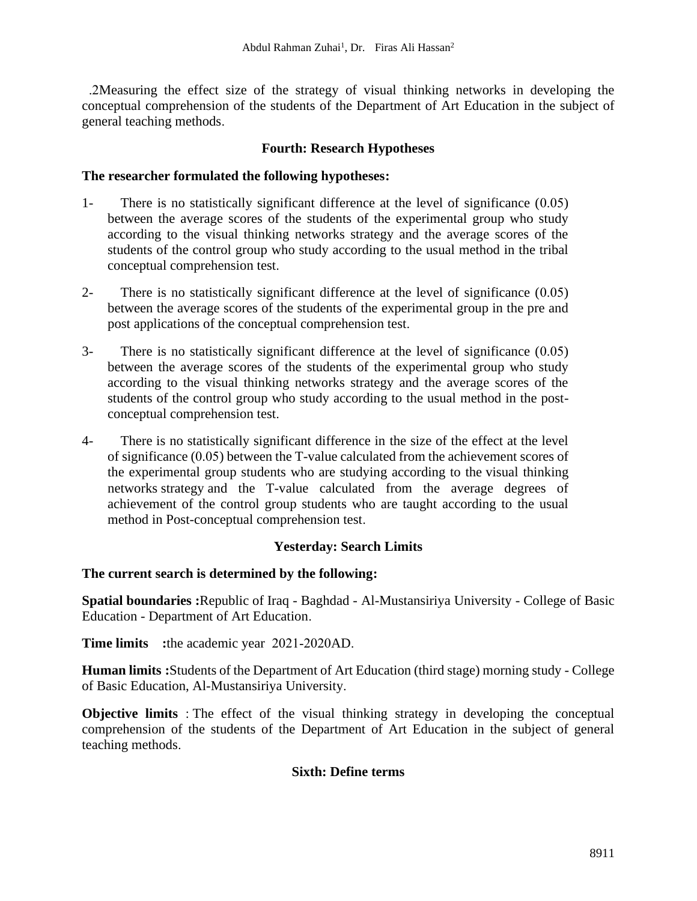#### **Fourth: Research Hypotheses**

#### **The researcher formulated the following hypotheses :**

- 1- There is no statistically significant difference at the level of significance (0.05) between the average scores of the students of the experimental group who study according to the visual thinking networks strategy and the average scores of the students of the control group who study according to the usual method in the tribal conceptual comprehension test.
- 2- There is no statistically significant difference at the level of significance (0.05) between the average scores of the students of the experimental group in the pre and post applications of the conceptual comprehension test.
- 3- There is no statistically significant difference at the level of significance (0.05) between the average scores of the students of the experimental group who study according to the visual thinking networks strategy and the average scores of the students of the control group who study according to the usual method in the postconceptual comprehension test.
- 4- There is no statistically significant difference in the size of the effect at the level of significance (0.05) between the T-value calculated from the achievement scores of the experimental group students who are studying according to the visual thinking networks strategy and the T-value calculated from the average degrees of achievement of the control group students who are taught according to the usual method in Post-conceptual comprehension test.

## **Yesterday: Search Limits**

## **The current search is determined by the following:**

**Spatial boundaries :**Republic of Iraq - Baghdad - Al-Mustansiriya University - College of Basic Education - Department of Art Education.

**Time limits** : the academic year 2021-2020AD.

**Human limits :**Students of the Department of Art Education (third stage) morning study - College of Basic Education, Al-Mustansiriya University.

**Objective limits** : The effect of the visual thinking strategy in developing the conceptual comprehension of the students of the Department of Art Education in the subject of general teaching methods .

## **Sixth: Define terms**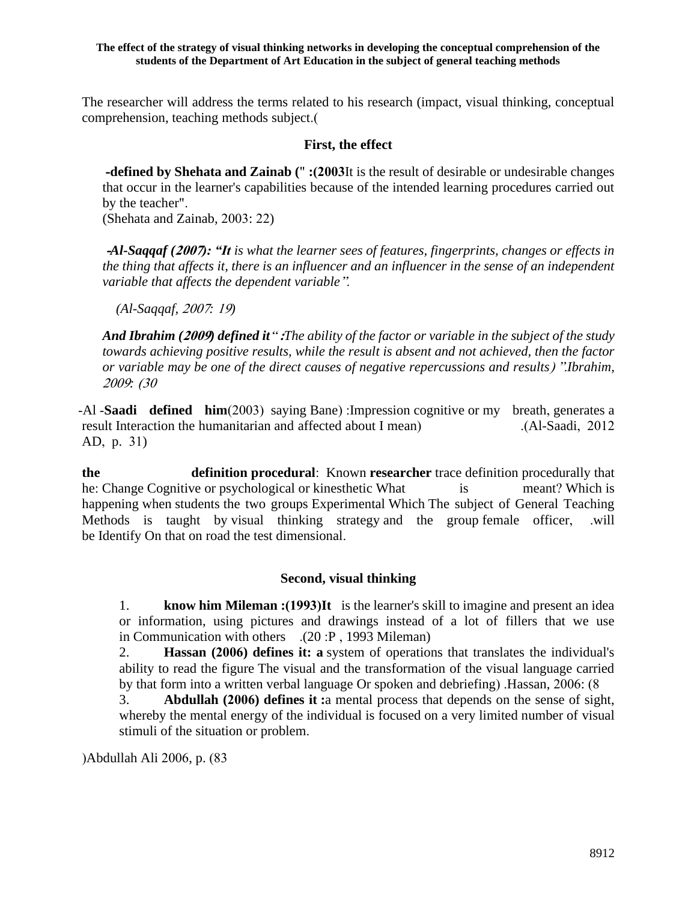The researcher will address the terms related to his research (impact, visual thinking, conceptual comprehension, teaching methods subject.)

## **First, the effect**

 **-defined by Shehata and Zainab (**" **:)2003**It is the result of desirable or undesirable changes that occur in the learner's capabilities because of the intended learning procedures carried out by the teacher".

(Shehata and Zainab, 2003: 22)

**-***Al-Saqqaf (***2007***): "It is what the learner sees of features, fingerprints, changes or effects in the thing that affects it, there is an influencer and an influencer in the sense of an independent variable that affects the dependent variable* ".

*(Al-Saqqaf,* 2007*:* 19*)*

*And Ibrahim (***2009***) defined it*" **:***The ability of the factor or variable in the subject of the study towards achieving positive results, while the result is absent and not achieved, then the factor or variable may be one of the direct causes of negative repercussions and results*( ".*Ibrahim,*  <sup>2009</sup>*:* )30

-Al -**Saadi defined him**(2003) saying Bane) :Impression cognitive or my breath, generates a result Interaction the humanitarian and affected about I mean) (Al-Saadi, 2012 AD, p. 31)

**the definition procedural**: Known **researcher** trace definition procedurally that he: Change Cognitive or psychological or kinesthetic What is meant? Which is happening when students the two groups Experimental Which The subject of General Teaching Methods is taught by visual thinking strategy and the group female officer, .will be Identify On that on road the test dimensional.

## **Second, visual thinking**

1. **know him Mileman :(1993)It** is the learner's skill to imagine and present an idea or information, using pictures and drawings instead of a lot of fillers that we use in Communication with others .(20 :P , 1993 Mileman)

2. **Hassan (2006) defines it: a** system of operations that translates the individual's ability to read the figure The visual and the transformation of the visual language carried by that form into a written verbal language Or spoken and debriefing). Hassan, 2006: (8)

3. **Abdullah (2006) defines it :**a mental process that depends on the sense of sight, whereby the mental energy of the individual is focused on a very limited number of visual stimuli of the situation or problem.

(Abdullah Ali 2006, p. (83)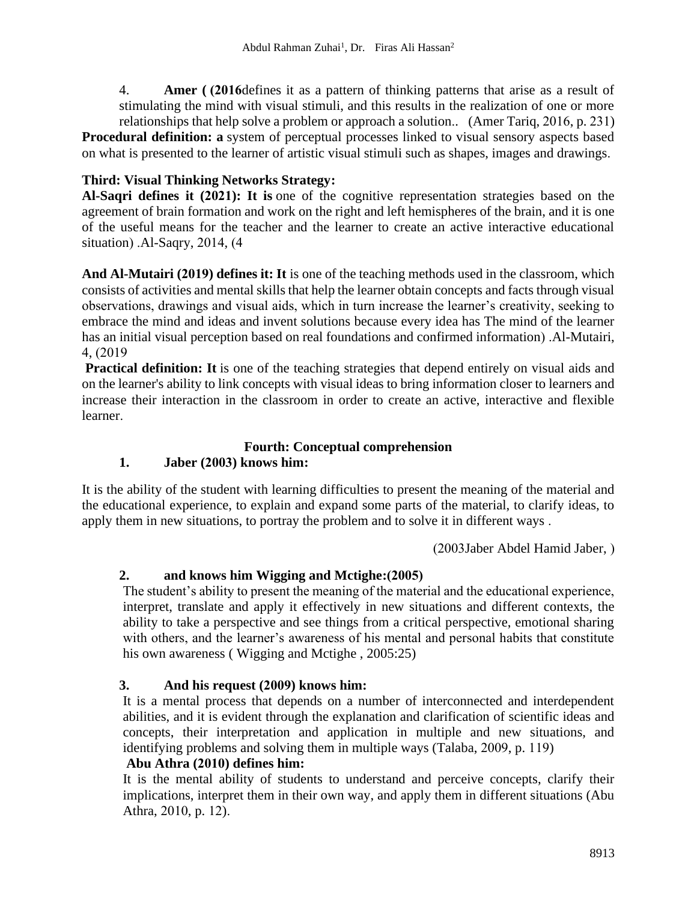4. **Amer** (2016 defines it as a pattern of thinking patterns that arise as a result of stimulating the mind with visual stimuli, and this results in the realization of one or more relationships that help solve a problem or approach a solution.. (Amer Tariq, 2016, p. 231)

**Procedural definition: a** system of perceptual processes linked to visual sensory aspects based on what is presented to the learner of artistic visual stimuli such as shapes, images and drawings.

# **Third: Visual Thinking Networks Strategy :**

**Al-Saqri defines it (2021): It is** one of the cognitive representation strategies based on the agreement of brain formation and work on the right and left hemispheres of the brain, and it is one of the useful means for the teacher and the learner to create an active interactive educational situation)  $.A1-Saqry, 2014, (4)$ 

**And Al-Mutairi (2019) defines it: It** is one of the teaching methods used in the classroom, which consists of activities and mental skills that help the learner obtain concepts and facts through visual observations, drawings and visual aids, which in turn increase the learner's creativity, seeking to embrace the mind and ideas and invent solutions because every idea has The mind of the learner has an initial visual perception based on real foundations and confirmed information). Al-Mutairi, 4, )2019

**Practical definition:** It is one of the teaching strategies that depend entirely on visual aids and on the learner's ability to link concepts with visual ideas to bring information closer to learners and increase their interaction in the classroom in order to create an active, interactive and flexible learner.

# **Fourth: Conceptual comprehension**

# **1. Jaber (2003) knows him:**

It is the ability of the student with learning difficulties to present the meaning of the material and the educational experience, to explain and expand some parts of the material, to clarify ideas, to apply them in new situations, to portray the problem and to solve it in different ways .

(2003Jaber Abdel Hamid Jaber, )

# 2. **and knows him Wigging and Mctighe:**(2005)

The student's ability to present the meaning of the material and the educational experience, interpret, translate and apply it effectively in new situations and different contexts, the ability to take a perspective and see things from a critical perspective, emotional sharing with others, and the learner's awareness of his mental and personal habits that constitute his own awareness (Wigging and Mctighe, 2005:25)

# **3. And his request (2009) knows him :**

It is a mental process that depends on a number of interconnected and interdependent abilities, and it is evident through the explanation and clarification of scientific ideas and concepts, their interpretation and application in multiple and new situations, and identifying problems and solving them in multiple ways (Talaba, 2009, p. 119)

# **Abu Athra (2010) defines him :**

It is the mental ability of students to understand and perceive concepts, clarify their implications, interpret them in their own way, and apply them in different situations (Abu Athra, 2010, p. 12).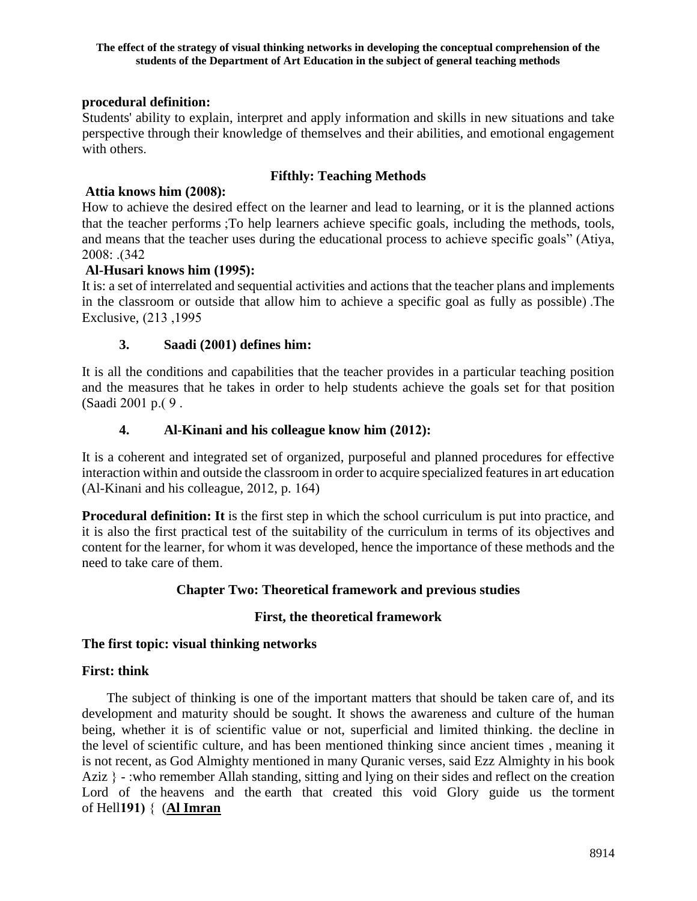## **procedural definition:**

Students' ability to explain, interpret and apply information and skills in new situations and take perspective through their knowledge of themselves and their abilities, and emotional engagement with others.

# **Fifthly: Teaching Methods**

# **Attia knows him (2008):**

How to achieve the desired effect on the learner and lead to learning, or it is the planned actions that the teacher performs ;To help learners achieve specific goals, including the methods, tools, and means that the teacher uses during the educational process to achieve specific goals" (Atiya, 2008: .)342

## **Al-Husari knows him (1995) :**

It is: a set of interrelated and sequential activities and actions that the teacher plans and implements in the classroom or outside that allow him to achieve a specific goal as fully as possible). The Exclusive,  $(213, 1995)$ 

## **3. Saadi (2001) defines him:**

It is all the conditions and capabilities that the teacher provides in a particular teaching position and the measures that he takes in order to help students achieve the goals set for that position (Saadi 2001 p.( 9.

## **4. Al-Kinani and his colleague know him (2012):**

It is a coherent and integrated set of organized, purposeful and planned procedures for effective interaction within and outside the classroom in order to acquire specialized features in art education (Al-Kinani and his colleague, 2012, p. 164)

**Procedural definition: It** is the first step in which the school curriculum is put into practice, and it is also the first practical test of the suitability of the curriculum in terms of its objectives and content for the learner, for whom it was developed, hence the importance of these methods and the need to take care of them.

# **Chapter Two: Theoretical framework and previous studies**

## **First, the theoretical framework**

## **The first topic: visual thinking networks**

## **First: think**

 The subject of thinking is one of the important matters that should be taken care of, and its development and maturity should be sought. It shows the awareness and culture of the human being, whether it is of scientific value or not, superficial and limited thinking. the decline in the level of scientific culture, and has been mentioned thinking since ancient times , meaning it is not recent, as God Almighty mentioned in many Quranic verses, said Ezz Almighty in his book Aziz  $\}$  - :who remember Allah standing, sitting and lying on their sides and reflect on the creation Lord of the heavens and the earth that created this void Glory guide us the torment of Hell**191(** } (**[Al Imran](https://translate.google.com/translate?hl=ar&prev=_t&sl=ar&tl=en&u=http://quranbysubject.com/sura.php%3FSura%3D3)**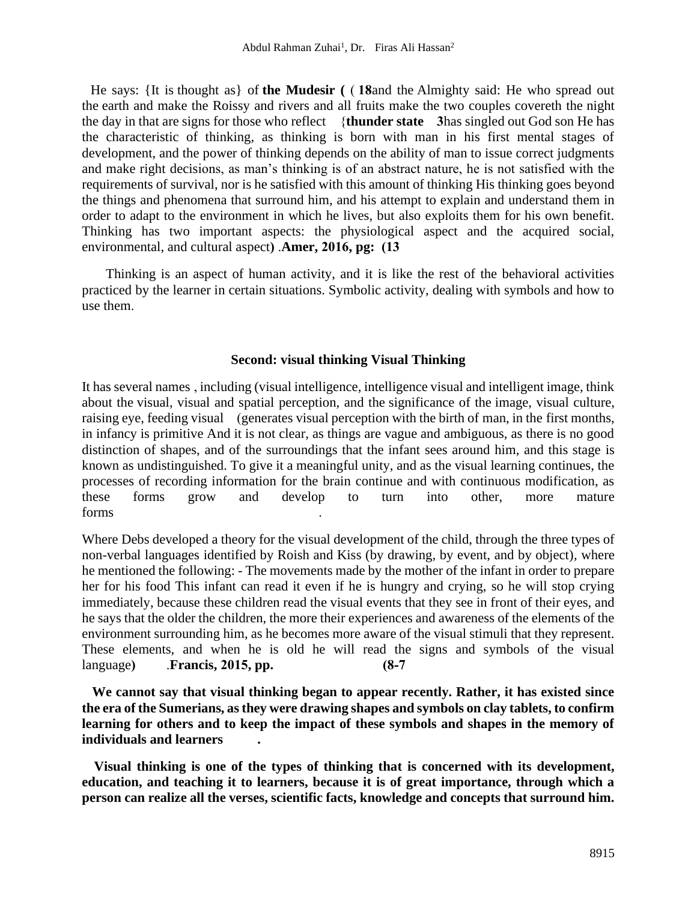He says: {It is thought as} of the Mudesir ( $\left($  18 and the Almighty said: He who spread out the earth and make the Roissy and rivers and all fruits make the two couples covereth the night the day in that are signs for those who reflect }**thunder state 3**has singled out God son He has the characteristic of thinking, as thinking is born with man in his first mental stages of development, and the power of thinking depends on the ability of man to issue correct judgments and make right decisions, as man's thinking is of an abstract nature, he is not satisfied with the requirements of survival, nor is he satisfied with this amount of thinking His thinking goes beyond the things and phenomena that surround him, and his attempt to explain and understand them in order to adapt to the environment in which he lives, but also exploits them for his own benefit. Thinking has two important aspects: the physiological aspect and the acquired social, environmental, and cultural aspect) .**Amer, 2016, pg:** (13)

Thinking is an aspect of human activity, and it is like the rest of the behavioral activities practiced by the learner in certain situations. Symbolic activity, dealing with symbols and how to use them.

## **Second: visual thinking Visual Thinking**

It has several names , including (visual intelligence, intelligence visual and intelligent image, think about the visual, visual and spatial perception, and the significance of the image, visual culture, raising eye, feeding visual (generates visual perception with the birth of man, in the first months, in infancy is primitive And it is not clear, as things are vague and ambiguous, as there is no good distinction of shapes, and of the surroundings that the infant sees around him, and this stage is known as undistinguished. To give it a meaningful unity, and as the visual learning continues, the processes of recording information for the brain continue and with continuous modification, as these forms grow and develop to turn into other, more mature forms .

Where Debs developed a theory for the visual development of the child, through the three types of non-verbal languages identified by Roish and Kiss (by drawing, by event, and by object), where he mentioned the following: - The movements made by the mother of the infant in order to prepare her for his food This infant can read it even if he is hungry and crying, so he will stop crying immediately, because these children read the visual events that they see in front of their eyes, and he says that the older the children, the more their experiences and awareness of the elements of the environment surrounding him, as he becomes more aware of the visual stimuli that they represent. These elements, and when he is old he will read the signs and symbols of the visual language) **Francis, 2015, pp.** (8-7)

**We cannot say that visual thinking began to appear recently. Rather, it has existed since the era of the Sumerians, as they were drawing shapes and symbols on clay tablets, to confirm learning for others and to keep the impact of these symbols and shapes in the memory of individuals and learners .**

 **Visual thinking is one of the types of thinking that is concerned with its development, education, and teaching it to learners, because it is of great importance, through which a person can realize all the verses, scientific facts, knowledge and concepts that surround him.**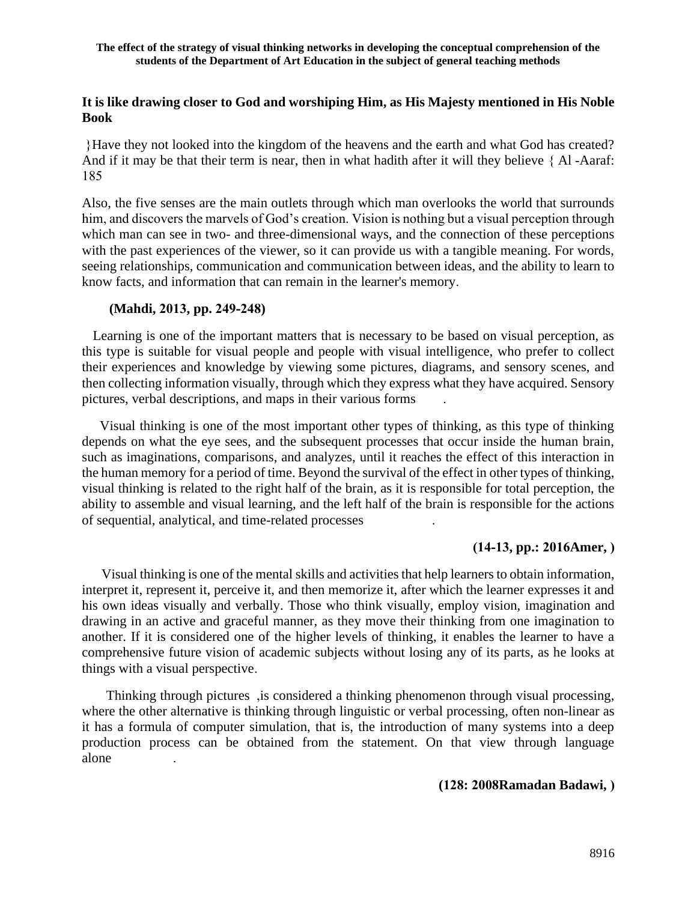## **It is like drawing closer to God and worshiping Him, as His Majesty mentioned in His Noble Book**

{Have they not looked into the kingdom of the heavens and the earth and what God has created? And if it may be that their term is near, then in what hadith after it will they believe { Al -Aaraf: 185

Also, the five senses are the main outlets through which man overlooks the world that surrounds him, and discovers the marvels of God's creation. Vision is nothing but a visual perception through which man can see in two- and three-dimensional ways, and the connection of these perceptions with the past experiences of the viewer, so it can provide us with a tangible meaning. For words, seeing relationships, communication and communication between ideas, and the ability to learn to know facts, and information that can remain in the learner's memory .

## **(Mahdi, 2013, pp. 249-248)**

 Learning is one of the important matters that is necessary to be based on visual perception, as this type is suitable for visual people and people with visual intelligence, who prefer to collect their experiences and knowledge by viewing some pictures, diagrams, and sensory scenes, and then collecting information visually, through which they express what they have acquired. Sensory pictures, verbal descriptions, and maps in their various forms .

 Visual thinking is one of the most important other types of thinking, as this type of thinking depends on what the eye sees, and the subsequent processes that occur inside the human brain, such as imaginations, comparisons, and analyzes, until it reaches the effect of this interaction in the human memory for a period of time. Beyond the survival of the effect in other types of thinking, visual thinking is related to the right half of the brain, as it is responsible for total perception, the ability to assemble and visual learning, and the left half of the brain is responsible for the actions of sequential, analytical, and time-related processes .

# **)14-13, pp.: 2016Amer, (**

 Visual thinking is one of the mental skills and activities that help learners to obtain information, interpret it, represent it, perceive it, and then memorize it, after which the learner expresses it and his own ideas visually and verbally. Those who think visually, employ vision, imagination and drawing in an active and graceful manner, as they move their thinking from one imagination to another. If it is considered one of the higher levels of thinking, it enables the learner to have a comprehensive future vision of academic subjects without losing any of its parts, as he looks at things with a visual perspective .

 Thinking through pictures ,is considered a thinking phenomenon through visual processing, where the other alternative is thinking through linguistic or verbal processing, often non-linear as it has a formula of computer simulation, that is, the introduction of many systems into a deep production process can be obtained from the statement. On that view through language alone .

**(128: 2008Ramadan Badawi, (**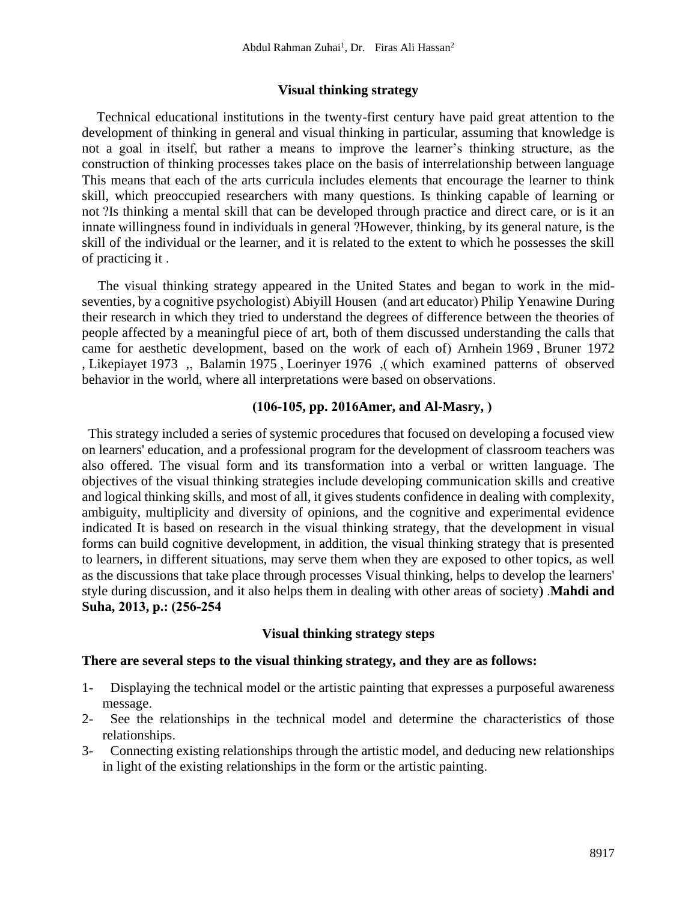#### **Visual thinking strategy**

 Technical educational institutions in the twenty-first century have paid great attention to the development of thinking in general and visual thinking in particular, assuming that knowledge is not a goal in itself, but rather a means to improve the learner's thinking structure, as the construction of thinking processes takes place on the basis of interrelationship between language This means that each of the arts curricula includes elements that encourage the learner to think skill, which preoccupied researchers with many questions. Is thinking capable of learning or not ?Is thinking a mental skill that can be developed through practice and direct care, or is it an innate willingness found in individuals in general ?However, thinking, by its general nature, is the skill of the individual or the learner, and it is related to the extent to which he possesses the skill of practicing it .

 The visual thinking strategy appeared in the United States and began to work in the midseventies, by a cognitive psychologist) Abiyill Housen (and art educator) Philip Yenawine During their research in which they tried to understand the degrees of difference between the theories of people affected by a meaningful piece of art, both of them discussed understanding the calls that came for aesthetic development, based on the work of each of) Arnhein 1969, Bruner 1972 , Likepiayet 1973 , Balamin 1975, Loerinyer 1976 , which examined patterns of observed behavior in the world, where all interpretations were based on observations.

## **)106-105, pp. 2016Amer, and Al-Masry, (**

 This strategy included a series of systemic procedures that focused on developing a focused view on learners' education, and a professional program for the development of classroom teachers was also offered. The visual form and its transformation into a verbal or written language. The objectives of the visual thinking strategies include developing communication skills and creative and logical thinking skills, and most of all, it gives students confidence in dealing with complexity, ambiguity, multiplicity and diversity of opinions, and the cognitive and experimental evidence indicated It is based on research in the visual thinking strategy, that the development in visual forms can build cognitive development, in addition, the visual thinking strategy that is presented to learners, in different situations, may serve them when they are exposed to other topics, as well as the discussions that take place through processes Visual thinking, helps to develop the learners' style during discussion, and it also helps them in dealing with other areas of society). **Mahdi and** Suha, 2013, p.: (256-254)

#### **Visual thinking strategy steps**

#### **There are several steps to the visual thinking strategy, and they are as follows:**

- 1- Displaying the technical model or the artistic painting that expresses a purposeful awareness message.
- 2- See the relationships in the technical model and determine the characteristics of those relationships.
- 3- Connecting existing relationships through the artistic model, and deducing new relationships in light of the existing relationships in the form or the artistic painting.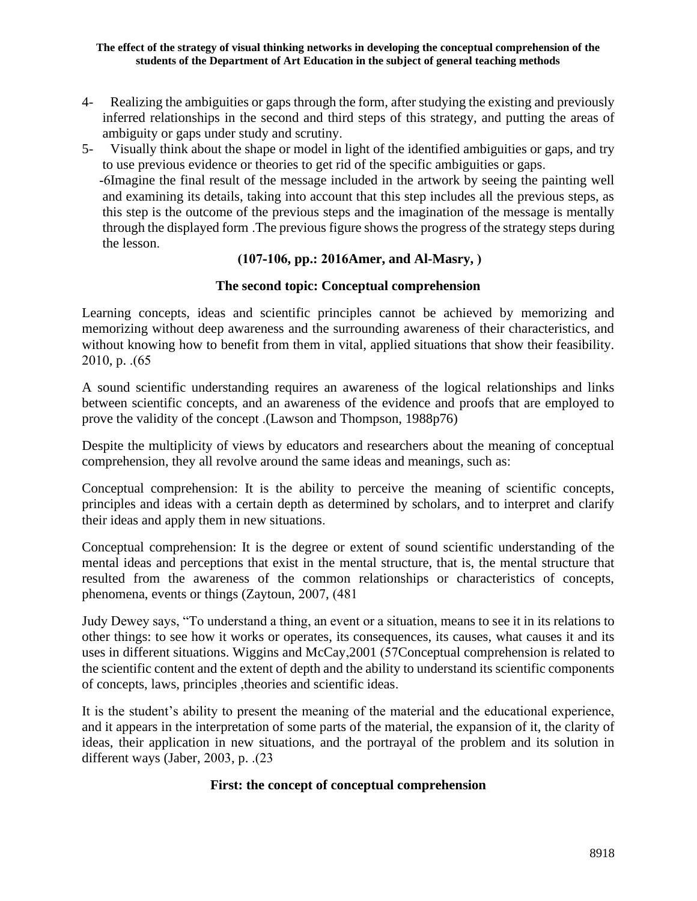- 4- Realizing the ambiguities or gaps through the form, after studying the existing and previously inferred relationships in the second and third steps of this strategy, and putting the areas of ambiguity or gaps under study and scrutiny.
- 5- Visually think about the shape or model in light of the identified ambiguities or gaps, and try to use previous evidence or theories to get rid of the specific ambiguities or gaps.

-6Imagine the final result of the message included in the artwork by seeing the painting well and examining its details, taking into account that this step includes all the previous steps, as this step is the outcome of the previous steps and the imagination of the message is mentally through the displayed form .The previous figure shows the progress of the strategy steps during the lesson.

# **)107-106, pp.: 2016Amer, and Al-Masry, (**

## **The second topic: Conceptual comprehension**

Learning concepts, ideas and scientific principles cannot be achieved by memorizing and memorizing without deep awareness and the surrounding awareness of their characteristics, and without knowing how to benefit from them in vital, applied situations that show their feasibility. 2010, p.  $(65)$ 

A sound scientific understanding requires an awareness of the logical relationships and links between scientific concepts, and an awareness of the evidence and proofs that are employed to prove the validity of the concept .(Lawson and Thompson, 1988p76)

Despite the multiplicity of views by educators and researchers about the meaning of conceptual comprehension, they all revolve around the same ideas and meanings, such as:

Conceptual comprehension: It is the ability to perceive the meaning of scientific concepts, principles and ideas with a certain depth as determined by scholars, and to interpret and clarify their ideas and apply them in new situations.

Conceptual comprehension: It is the degree or extent of sound scientific understanding of the mental ideas and perceptions that exist in the mental structure, that is, the mental structure that resulted from the awareness of the common relationships or characteristics of concepts, phenomena, events or things (Zaytoun, 2007, (481)

Judy Dewey says, "To understand a thing, an event or a situation, means to see it in its relations to other things: to see how it works or operates, its consequences, its causes, what causes it and its uses in different situations. Wiggins and McCay, 2001 (57Conceptual comprehension is related to the scientific content and the extent of depth and the ability to understand its scientific components of concepts, laws, principles ,theories and scientific ideas .

It is the student's ability to present the meaning of the material and the educational experience, and it appears in the interpretation of some parts of the material, the expansion of it, the clarity of ideas, their application in new situations, and the portrayal of the problem and its solution in different ways (Jaber, 2003, p.  $(23)$ 

## **First: the concept of conceptual comprehension**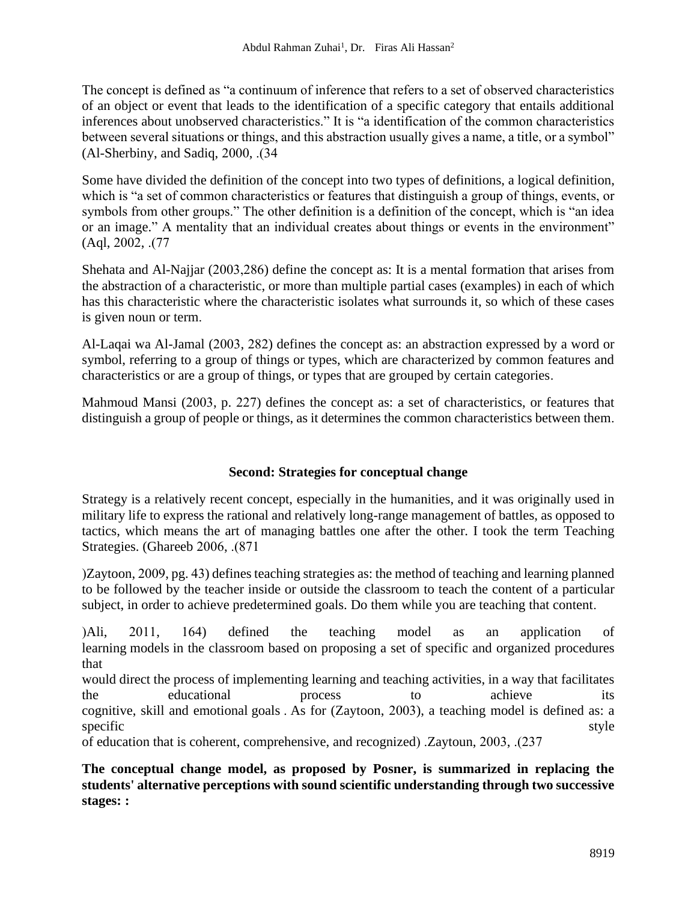The concept is defined as "a continuum of inference that refers to a set of observed characteristics of an object or event that leads to the identification of a specific category that entails additional inferences about unobserved characteristics." It is "a identification of the common characteristics between several situations or things, and this abstraction usually gives a name, a title, or a symbol"  $(Al-Sherbiny, and Sadiq, 2000, . $(34$$ 

Some have divided the definition of the concept into two types of definitions, a logical definition, which is "a set of common characteristics or features that distinguish a group of things, events, or symbols from other groups." The other definition is a definition of the concept, which is "an idea or an image." A mentality that an individual creates about things or events in the environment"  $(Aql, 2002, .(77))$ 

Shehata and Al-Najjar (2003,286) define the concept as: It is a mental formation that arises from the abstraction of a characteristic, or more than multiple partial cases (examples) in each of which has this characteristic where the characteristic isolates what surrounds it, so which of these cases is given noun or term.

Al-Laqai wa Al-Jamal (2003, 282) defines the concept as: an abstraction expressed by a word or symbol, referring to a group of things or types, which are characterized by common features and characteristics or are a group of things, or types that are grouped by certain categories .

Mahmoud Mansi (2003, p. 227) defines the concept as: a set of characteristics, or features that distinguish a group of people or things, as it determines the common characteristics between them.

# **Second: Strategies for conceptual change**

Strategy is a relatively recent concept, especially in the humanities, and it was originally used in military life to express the rational and relatively long-range management of battles, as opposed to tactics, which means the art of managing battles one after the other. I took the term Teaching Strategies. (Ghareeb 2006, .(871)

)Zaytoon, 2009, pg. 43) defines teaching strategies as: the method of teaching and learning planned to be followed by the teacher inside or outside the classroom to teach the content of a particular subject, in order to achieve predetermined goals. Do them while you are teaching that content.

(Ali, 2011, 164) defined the teaching model as an application of learning models in the classroom based on proposing a set of specific and organized procedures that

would direct the process of implementing learning and teaching activities, in a way that facilitates the educational process to achieve its cognitive, skill and emotional goals . As for (Zaytoon, 2003), a teaching model is defined as: a specific style

of education that is coherent, comprehensive, and recognized( .Zaytoun, 2003, .)237

**The conceptual change model, as proposed by Posner, is summarized in replacing the students' alternative perceptions with sound scientific understanding through two successive stages: :**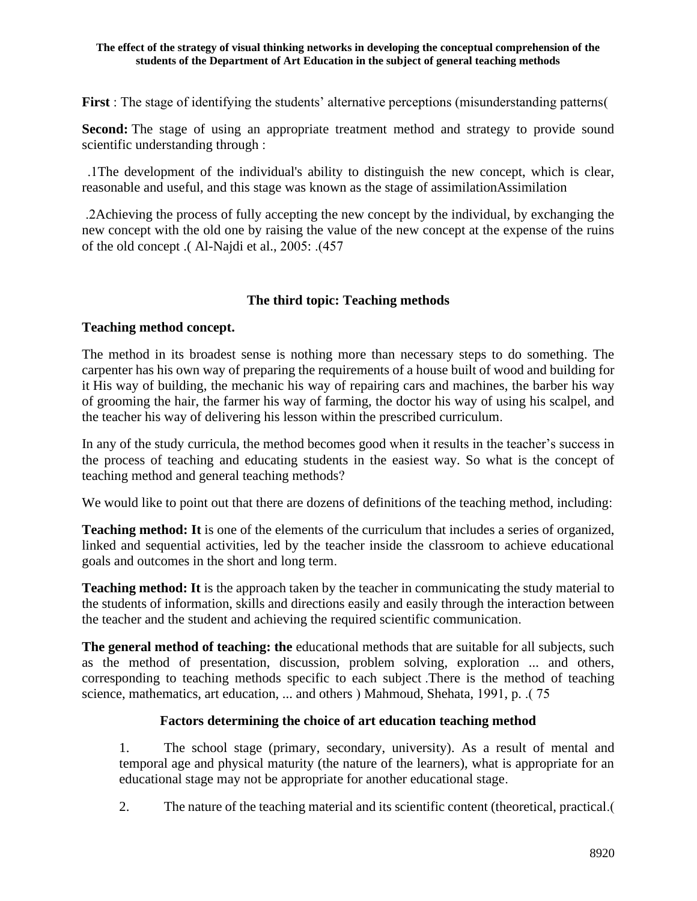**First** : The stage of identifying the students' alternative perceptions (misunderstanding patterns )

**Second:** The stage of using an appropriate treatment method and strategy to provide sound scientific understanding through :

 .1The development of the individual's ability to distinguish the new concept, which is clear, reasonable and useful, and this stage was known as the stage of assimilationAssimilation

 .2Achieving the process of fully accepting the new concept by the individual, by exchanging the new concept with the old one by raising the value of the new concept at the expense of the ruins of the old concept .(Al-Najdi et al., 2005: .(457)

# **The third topic: Teaching methods**

## **Teaching method concept.**

The method in its broadest sense is nothing more than necessary steps to do something. The carpenter has his own way of preparing the requirements of a house built of wood and building for it His way of building, the mechanic his way of repairing cars and machines, the barber his way of grooming the hair, the farmer his way of farming, the doctor his way of using his scalpel, and the teacher his way of delivering his lesson within the prescribed curriculum.

In any of the study curricula, the method becomes good when it results in the teacher's success in the process of teaching and educating students in the easiest way. So what is the concept of teaching method and general teaching methods ?

We would like to point out that there are dozens of definitions of the teaching method, including:

**Teaching method: It** is one of the elements of the curriculum that includes a series of organized, linked and sequential activities, led by the teacher inside the classroom to achieve educational goals and outcomes in the short and long term.

**Teaching method: It** is the approach taken by the teacher in communicating the study material to the students of information, skills and directions easily and easily through the interaction between the teacher and the student and achieving the required scientific communication.

**The general method of teaching: the** educational methods that are suitable for all subjects, such as the method of presentation, discussion, problem solving, exploration ... and others, corresponding to teaching methods specific to each subject .There is the method of teaching science, mathematics, art education, ... and others ( Mahmoud, Shehata, 1991, p. .( 75)

# **Factors determining the choice of art education teaching method**

1. The school stage (primary, secondary, university). As a result of mental and temporal age and physical maturity (the nature of the learners), what is appropriate for an educational stage may not be appropriate for another educational stage .

2. The nature of the teaching material and its scientific content (theoretical, practical.)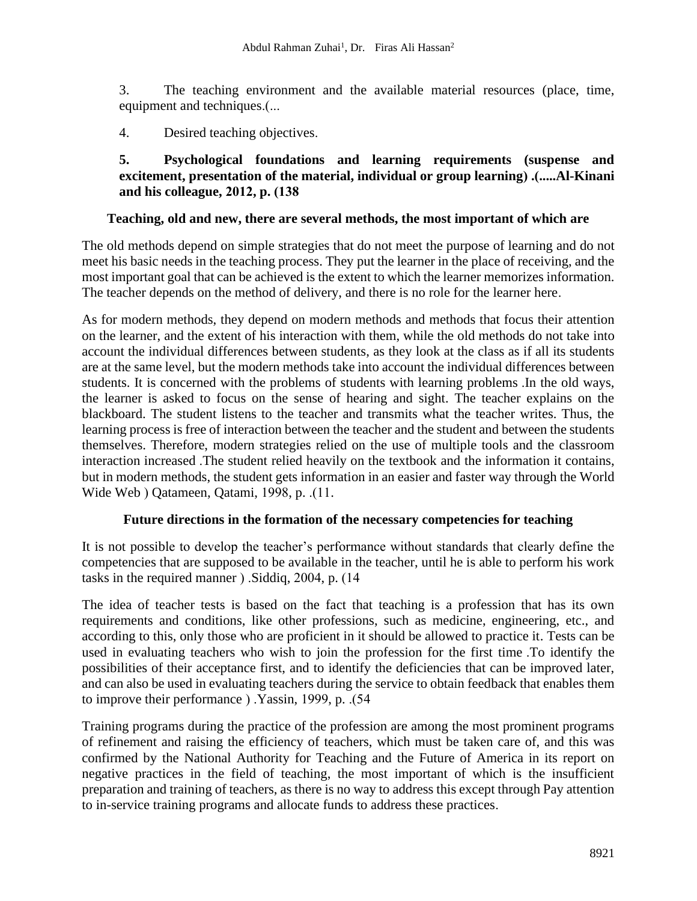3. The teaching environment and the available material resources (place, time, equipment and techniques.(...

4. Desired teaching objectives.

**5. Psychological foundations and learning requirements (suspense and excitement, presentation of the material, individual or group learning).** (.....Al-Kinani and his colleague, 2012, p.  $(138)$ 

## **Teaching, old and new, there are several methods, the most important of which are**

The old methods depend on simple strategies that do not meet the purpose of learning and do not meet his basic needs in the teaching process. They put the learner in the place of receiving, and the most important goal that can be achieved is the extent to which the learner memorizes information. The teacher depends on the method of delivery, and there is no role for the learner here .

As for modern methods, they depend on modern methods and methods that focus their attention on the learner, and the extent of his interaction with them, while the old methods do not take into account the individual differences between students, as they look at the class as if all its students are at the same level, but the modern methods take into account the individual differences between students. It is concerned with the problems of students with learning problems .In the old ways, the learner is asked to focus on the sense of hearing and sight. The teacher explains on the blackboard. The student listens to the teacher and transmits what the teacher writes. Thus, the learning process is free of interaction between the teacher and the student and between the students themselves. Therefore, modern strategies relied on the use of multiple tools and the classroom interaction increased .The student relied heavily on the textbook and the information it contains, but in modern methods, the student gets information in an easier and faster way through the World Wide Web ) Qatameen, Qatami, 1998, p. .(11.

## **Future directions in the formation of the necessary competencies for teaching**

It is not possible to develop the teacher's performance without standards that clearly define the competencies that are supposed to be available in the teacher, until he is able to perform his work tasks in the required manner  $\cdot$ . Siddiq, 2004, p.  $(14$ 

The idea of teacher tests is based on the fact that teaching is a profession that has its own requirements and conditions, like other professions, such as medicine, engineering, etc., and according to this, only those who are proficient in it should be allowed to practice it. Tests can be used in evaluating teachers who wish to join the profession for the first time .To identify the possibilities of their acceptance first, and to identify the deficiencies that can be improved later, and can also be used in evaluating teachers during the service to obtain feedback that enables them to improve their performance ) .Yassin, 1999, p. .(54)

Training programs during the practice of the profession are among the most prominent programs of refinement and raising the efficiency of teachers, which must be taken care of, and this was confirmed by the National Authority for Teaching and the Future of America in its report on negative practices in the field of teaching, the most important of which is the insufficient preparation and training of teachers, as there is no way to address this except through Pay attention to in-service training programs and allocate funds to address these practices.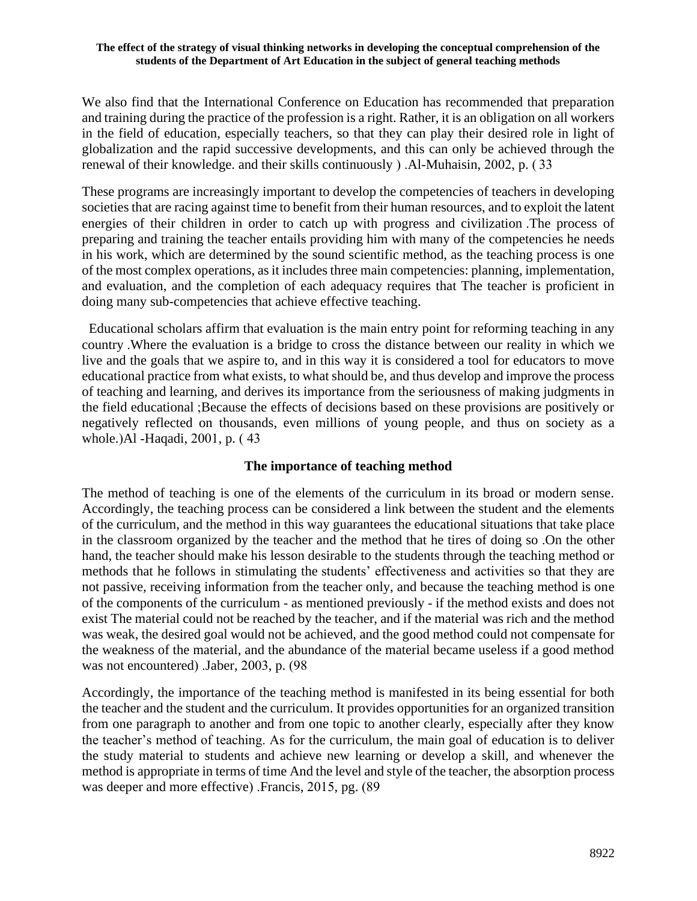We also find that the International Conference on Education has recommended that preparation and training during the practice of the profession is a right. Rather, it is an obligation on all workers in the field of education, especially teachers, so that they can play their desired role in light of globalization and the rapid successive developments, and this can only be achieved through the renewal of their knowledge, and their skills continuously  $)$ . Al-Muhaisin, 2002, p. (33)

These programs are increasingly important to develop the competencies of teachers in developing societies that are racing against time to benefit from their human resources, and to exploit the latent energies of their children in order to catch up with progress and civilization .The process of preparing and training the teacher entails providing him with many of the competencies he needs in his work, which are determined by the sound scientific method, as the teaching process is one of the most complex operations, as it includes three main competencies: planning, implementation, and evaluation, and the completion of each adequacy requires that The teacher is proficient in doing many sub-competencies that achieve effective teaching.

 Educational scholars affirm that evaluation is the main entry point for reforming teaching in any country .Where the evaluation is a bridge to cross the distance between our reality in which we live and the goals that we aspire to, and in this way it is considered a tool for educators to move educational practice from what exists, to what should be, and thus develop and improve the process of teaching and learning, and derives its importance from the seriousness of making judgments in the field educational ;Because the effects of decisions based on these provisions are positively or negatively reflected on thousands, even millions of young people, and thus on society as a whole.) Al -Haqadi, 2001, p. (43)

## **The importance of teaching method**

The method of teaching is one of the elements of the curriculum in its broad or modern sense. Accordingly, the teaching process can be considered a link between the student and the elements of the curriculum, and the method in this way guarantees the educational situations that take place in the classroom organized by the teacher and the method that he tires of doing so .On the other hand, the teacher should make his lesson desirable to the students through the teaching method or methods that he follows in stimulating the students' effectiveness and activities so that they are not passive, receiving information from the teacher only, and because the teaching method is one of the components of the curriculum - as mentioned previously - if the method exists and does not exist The material could not be reached by the teacher, and if the material was rich and the method was weak, the desired goal would not be achieved, and the good method could not compensate for the weakness of the material, and the abundance of the material became useless if a good method was not encountered) . Jaber,  $2003$ , p.  $(98$ 

Accordingly, the importance of the teaching method is manifested in its being essential for both the teacher and the student and the curriculum. It provides opportunities for an organized transition from one paragraph to another and from one topic to another clearly, especially after they know the teacher's method of teaching. As for the curriculum, the main goal of education is to deliver the study material to students and achieve new learning or develop a skill, and whenever the method is appropriate in terms of time And the level and style of the teacher, the absorption process was deeper and more effective) . Francis,  $2015$ , pg.  $(89)$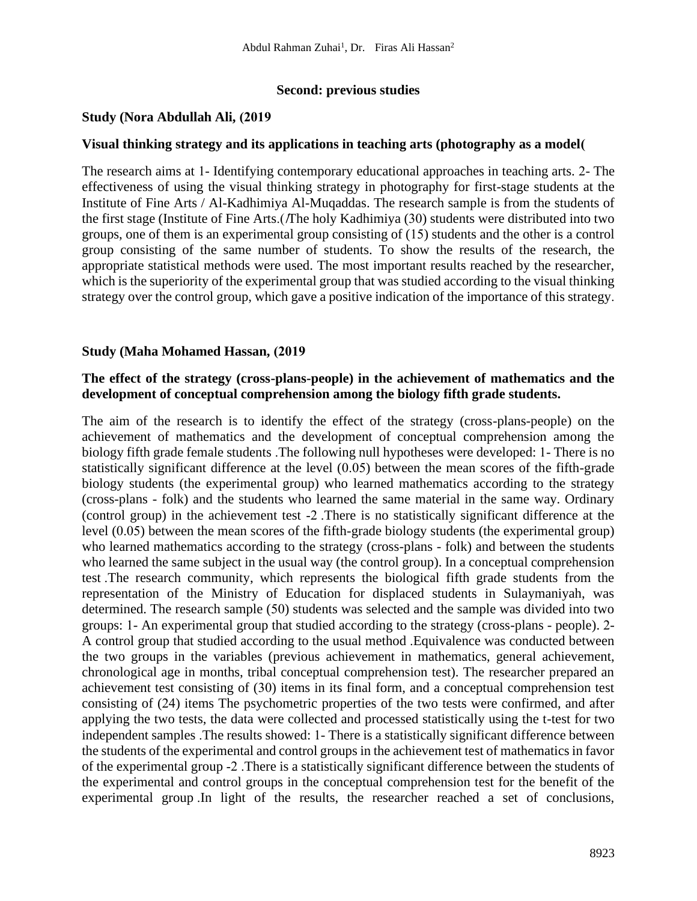## **Second: previous studies**

## **Study (Nora Abdullah Ali, (2019)**

#### **Visual thinking strategy and its applications in teaching arts (photography as a model)**

The research aims at 1- Identifying contemporary educational approaches in teaching arts. 2- The effectiveness of using the visual thinking strategy in photography for first-stage students at the Institute of Fine Arts / Al-Kadhimiya Al-Muqaddas. The research sample is from the students of the first stage (Institute of Fine Arts.(*The holy Kadhimiya (30)* students were distributed into two groups, one of them is an experimental group consisting of (15) students and the other is a control group consisting of the same number of students. To show the results of the research, the appropriate statistical methods were used. The most important results reached by the researcher, which is the superiority of the experimental group that was studied according to the visual thinking strategy over the control group, which gave a positive indication of the importance of this strategy.

#### **Study (Maha Mohamed Hassan, (2019)**

## **The effect of the strategy (cross-plans-people) in the achievement of mathematics and the development of conceptual comprehension among the biology fifth grade students.**

The aim of the research is to identify the effect of the strategy (cross-plans-people) on the achievement of mathematics and the development of conceptual comprehension among the biology fifth grade female students .The following null hypotheses were developed: 1- There is no statistically significant difference at the level (0.05) between the mean scores of the fifth-grade biology students (the experimental group) who learned mathematics according to the strategy (cross-plans - folk) and the students who learned the same material in the same way. Ordinary (control group) in the achievement test -2 .There is no statistically significant difference at the level (0.05) between the mean scores of the fifth-grade biology students (the experimental group) who learned mathematics according to the strategy (cross-plans - folk) and between the students who learned the same subject in the usual way (the control group). In a conceptual comprehension test .The research community, which represents the biological fifth grade students from the representation of the Ministry of Education for displaced students in Sulaymaniyah, was determined. The research sample (50) students was selected and the sample was divided into two groups: 1- An experimental group that studied according to the strategy (cross-plans - people). 2- A control group that studied according to the usual method .Equivalence was conducted between the two groups in the variables (previous achievement in mathematics, general achievement, chronological age in months, tribal conceptual comprehension test). The researcher prepared an achievement test consisting of (30) items in its final form, and a conceptual comprehension test consisting of (24) items The psychometric properties of the two tests were confirmed, and after applying the two tests, the data were collected and processed statistically using the t-test for two independent samples .The results showed: 1- There is a statistically significant difference between the students of the experimental and control groups in the achievement test of mathematics in favor of the experimental group -2 .There is a statistically significant difference between the students of the experimental and control groups in the conceptual comprehension test for the benefit of the experimental group .In light of the results, the researcher reached a set of conclusions,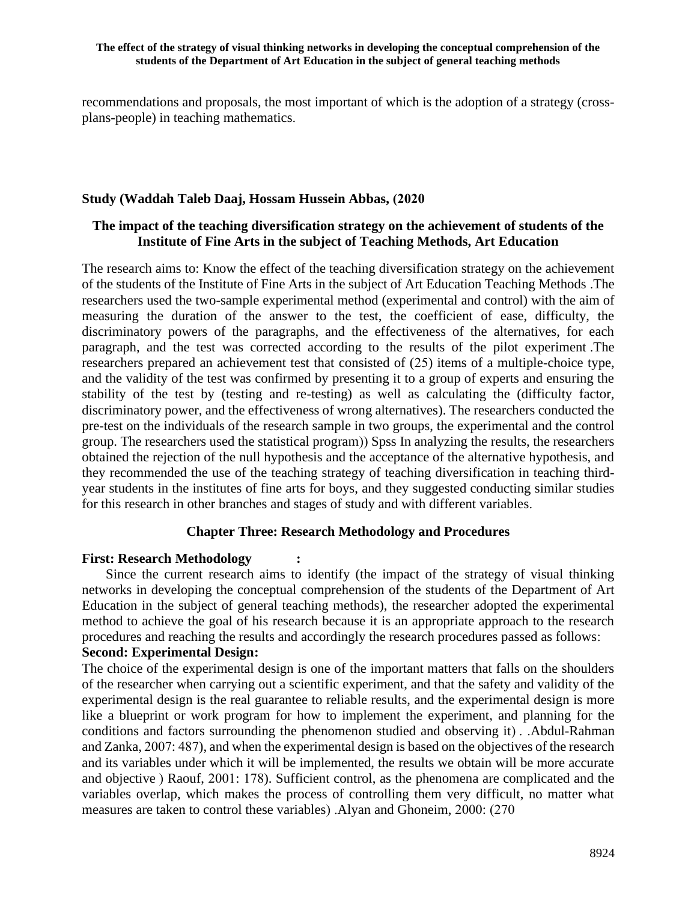recommendations and proposals, the most important of which is the adoption of a strategy (crossplans-people) in teaching mathematics.

#### Study (Waddah Taleb Daaj, Hossam Hussein Abbas, (2020

## **The impact of the teaching diversification strategy on the achievement of students of the Institute of Fine Arts in the subject of Teaching Methods, Art Education**

The research aims to: Know the effect of the teaching diversification strategy on the achievement of the students of the Institute of Fine Arts in the subject of Art Education Teaching Methods .The researchers used the two-sample experimental method (experimental and control) with the aim of measuring the duration of the answer to the test, the coefficient of ease, difficulty, the discriminatory powers of the paragraphs, and the effectiveness of the alternatives, for each paragraph, and the test was corrected according to the results of the pilot experiment .The researchers prepared an achievement test that consisted of (25) items of a multiple-choice type, and the validity of the test was confirmed by presenting it to a group of experts and ensuring the stability of the test by (testing and re-testing) as well as calculating the (difficulty factor, discriminatory power, and the effectiveness of wrong alternatives). The researchers conducted the pre-test on the individuals of the research sample in two groups, the experimental and the control group. The researchers used the statistical program) Spss In analyzing the results, the researchers obtained the rejection of the null hypothesis and the acceptance of the alternative hypothesis, and they recommended the use of the teaching strategy of teaching diversification in teaching thirdyear students in the institutes of fine arts for boys, and they suggested conducting similar studies for this research in other branches and stages of study and with different variables .

## **Chapter Three: Research Methodology and Procedures**

#### **First: Research Methodology :**

Since the current research aims to identify (the impact of the strategy of visual thinking networks in developing the conceptual comprehension of the students of the Department of Art Education in the subject of general teaching methods), the researcher adopted the experimental method to achieve the goal of his research because it is an appropriate approach to the research procedures and reaching the results and accordingly the research procedures passed as follows : **Second: Experimental Design:**

The choice of the experimental design is one of the important matters that falls on the shoulders of the researcher when carrying out a scientific experiment, and that the safety and validity of the experimental design is the real guarantee to reliable results, and the experimental design is more like a blueprint or work program for how to implement the experiment, and planning for the conditions and factors surrounding the phenomenon studied and observing it). .Abdul-Rahman and Zanka, 2007: 487), and when the experimental design is based on the objectives of the research and its variables under which it will be implemented, the results we obtain will be more accurate and objective ) Raouf, 2001: 178). Sufficient control, as the phenomena are complicated and the variables overlap, which makes the process of controlling them very difficult, no matter what measures are taken to control these variables). Alyan and Ghoneim, 2000: (270)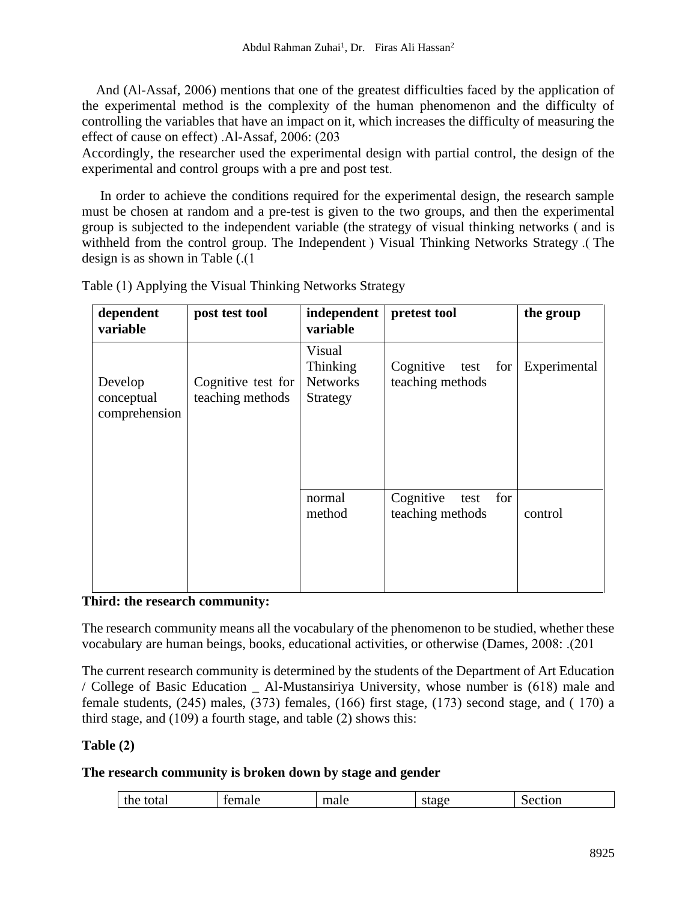And (Al-Assaf, 2006) mentions that one of the greatest difficulties faced by the application of the experimental method is the complexity of the human phenomenon and the difficulty of controlling the variables that have an impact on it, which increases the difficulty of measuring the effect of cause on effect)  $.$ Al-Assaf, 2006: (203)

Accordingly, the researcher used the experimental design with partial control, the design of the experimental and control groups with a pre and post test.

 In order to achieve the conditions required for the experimental design, the research sample must be chosen at random and a pre-test is given to the two groups, and then the experimental group is subjected to the independent variable (the strategy of visual thinking networks (and is withheld from the control group. The Independent ( Visual Thinking Networks Strategy .) The design is as shown in Table  $(.1)$ 

| dependent<br>variable                  | post test tool                         | independent<br>variable                           | pretest tool                                 | the group    |
|----------------------------------------|----------------------------------------|---------------------------------------------------|----------------------------------------------|--------------|
| Develop<br>conceptual<br>comprehension | Cognitive test for<br>teaching methods | Visual<br>Thinking<br><b>Networks</b><br>Strategy | Cognitive<br>test for<br>teaching methods    | Experimental |
|                                        |                                        | normal<br>method                                  | Cognitive<br>for<br>test<br>teaching methods | control      |

Table (1) Applying the Visual Thinking Networks Strategy

## Third: the research community:

The research community means all the vocabulary of the phenomenon to be studied, whether these vocabulary are human beings, books, educational activities, or otherwise (Dames, 2008: .(201

The current research community is determined by the students of the Department of Art Education / College of Basic Education \_ Al-Mustansiriya University, whose number is (618) male and female students, (245) males, (373) females, (166) first stage, (173) second stage, and ( 170) a third stage, and (109) a fourth stage, and table (2) shows this :

# **Table (2)**

# **The research community is broken down by stage and gender**

| <b>START OF</b><br>- -<br>une<br>- iotal<br>иι<br>ти<br>uvii<br><br>------ |
|----------------------------------------------------------------------------|
|----------------------------------------------------------------------------|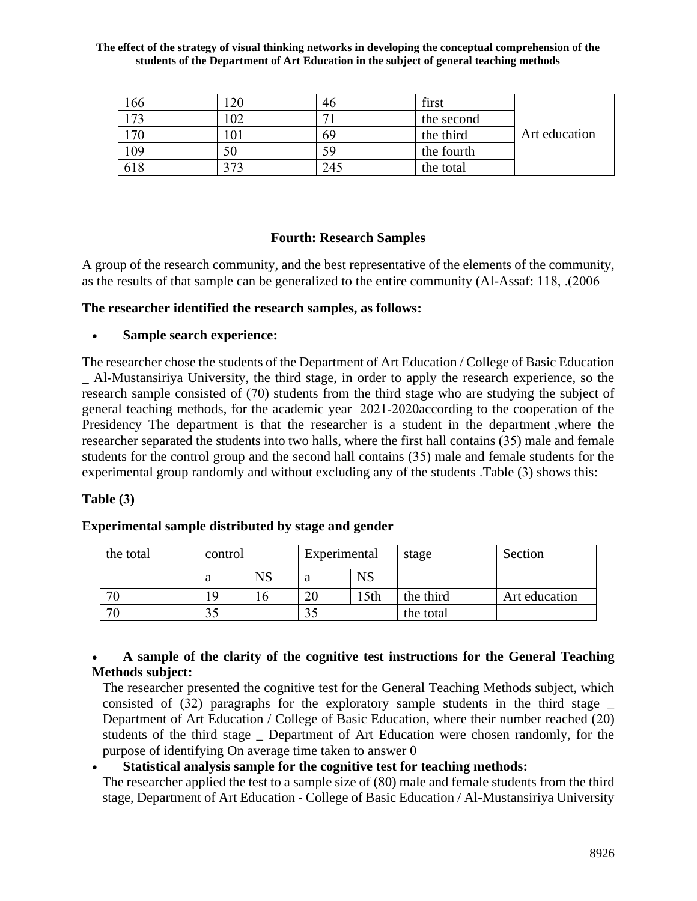| 166 |     | 46           | first      |               |
|-----|-----|--------------|------------|---------------|
| 173 | 02  | $\mathbf{r}$ | the second |               |
| 170 |     | 69           | the third  | Art education |
| 109 | 50  | 59           | the fourth |               |
| 618 | 373 | 245          | the total  |               |

# **Fourth: Research Samples**

A group of the research community, and the best representative of the elements of the community, as the results of that sample can be generalized to the entire community (Al-Assaf: 118, .(2006)

## **The researcher identified the research samples, as follows:**

## • **Sample search experience :**

The researcher chose the students of the Department of Art Education / College of Basic Education \_ Al-Mustansiriya University, the third stage, in order to apply the research experience, so the research sample consisted of (70) students from the third stage who are studying the subject of general teaching methods, for the academic year 2021-2020according to the cooperation of the Presidency The department is that the researcher is a student in the department ,where the researcher separated the students into two halls, where the first hall contains (35) male and female students for the control group and the second hall contains (35) male and female students for the experimental group randomly and without excluding any of the students .Table (3) shows this :

## **Table (3)**

# **Experimental sample distributed by stage and gender**

| the total | control |           | Experimental     |                  | stage     | Section       |
|-----------|---------|-----------|------------------|------------------|-----------|---------------|
|           | a       | <b>NS</b> | $_{\rm NS}$<br>a |                  |           |               |
|           |         | l b       | nη<br>ZU         | 15 <sub>th</sub> | the third | Art education |
|           |         |           |                  |                  | the total |               |

## • **A sample of the clarity of the cognitive test instructions for the General Teaching Methods subject :**

The researcher presented the cognitive test for the General Teaching Methods subject, which consisted of (32) paragraphs for the exploratory sample students in the third stage \_ Department of Art Education / College of Basic Education, where their number reached (20) students of the third stage \_ Department of Art Education were chosen randomly, for the purpose of identifying On average time taken to answer 0

# • **Statistical analysis sample for the cognitive test for teaching methods :**

The researcher applied the test to a sample size of (80) male and female students from the third stage, Department of Art Education - College of Basic Education / Al-Mustansiriya University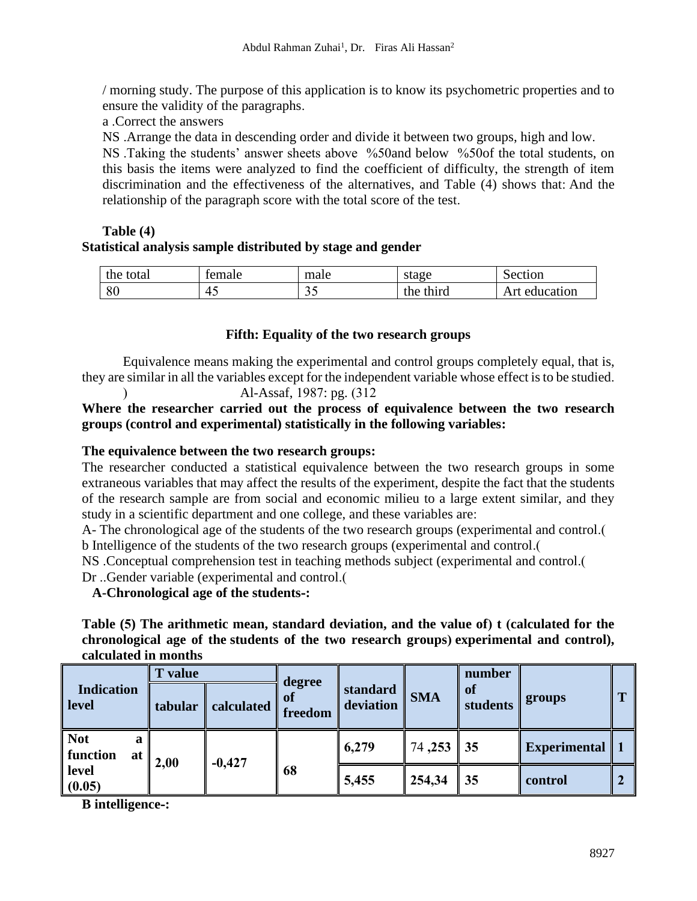/ morning study. The purpose of this application is to know its psychometric properties and to ensure the validity of the paragraphs .

a .Correct the answers

NS .Arrange the data in descending order and divide it between two groups, high and low.

NS .Taking the students' answer sheets above %50and below %50of the total students, on this basis the items were analyzed to find the coefficient of difficulty, the strength of item discrimination and the effectiveness of the alternatives, and Table (4) shows that: And the relationship of the paragraph score with the total score of the test.

## **Table (4) Statistical analysis sample distributed by stage and gender**

| the total | temale | male | stage     | Section       |
|-----------|--------|------|-----------|---------------|
| 80        | — 4∪   | ر. ر | the third | Art education |

# **Fifth: Equality of the two research groups**

Equivalence means making the experimental and control groups completely equal, that is, they are similar in all the variables except for the independent variable whose effect is to be studied.

Al-Assaf, 1987: pg. (312)

## **Where the researcher carried out the process of equivalence between the two research groups (control and experimental) statistically in the following variables:**

# **The equivalence between the two research groups:**

The researcher conducted a statistical equivalence between the two research groups in some extraneous variables that may affect the results of the experiment, despite the fact that the students of the research sample are from social and economic milieu to a large extent similar, and they study in a scientific department and one college, and these variables are:

A- The chronological age of the students of the two research groups (experimental and control.) b Intelligence of the students of the two research groups (experimental and control .)

NS . Conceptual comprehension test in teaching methods subject (experimental and control.

Dr ..Gender variable (experimental and control.

**A-Chronological age of the students -:**

**Table (5)** The arithmetic mean, standard deviation, and the value of) t (calculated for the chronological age of the students of the two research groups) experimental and control), **calculated in months**

| <b>Indication</b><br>level        | <b>T</b> value<br>tabular | calculated | degree<br>0I<br>freedom | standard<br>deviation | <b>SMA</b>  | number<br><b>of</b><br>students | groups              | m |
|-----------------------------------|---------------------------|------------|-------------------------|-----------------------|-------------|---------------------------------|---------------------|---|
| <b>Not</b><br>a<br>function<br>at | 2,00                      | $-0,427$   |                         | 6,279                 | $74,253$ 35 |                                 | <b>Experimental</b> |   |
| level<br>(0.05)                   |                           |            | 68                      | 5,455                 | 254,34      | $\parallel$ 35                  | control             |   |

**B intelligence -:**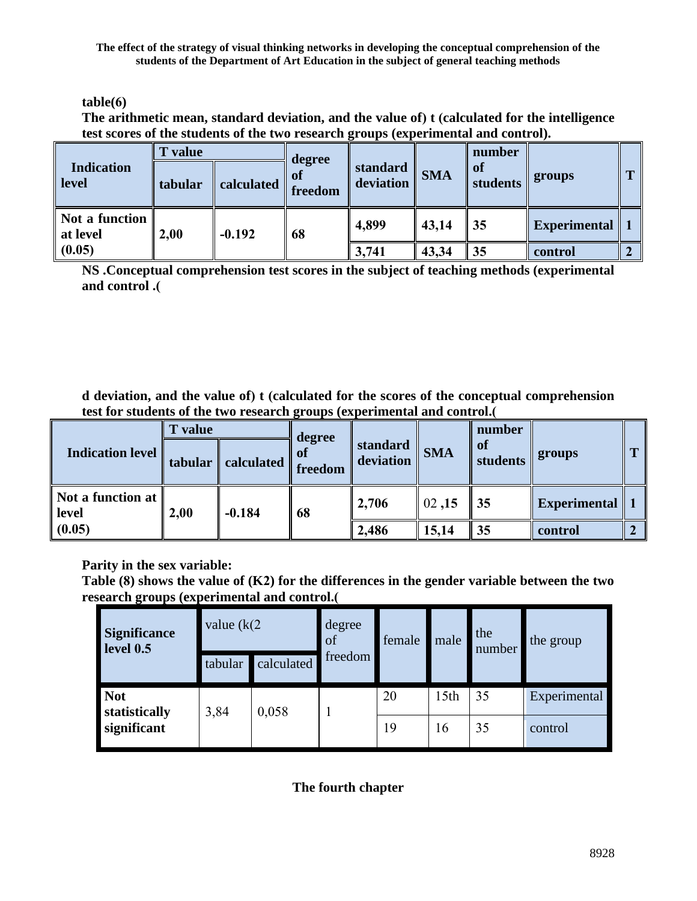**table(6)**

The arithmetic mean, standard deviation, and the value of) t (calculated for the intelligence **test scores of the students of the two research groups (experimental and control).**

|                            | value   |            | degree        |                       |            | number         |                     |              |
|----------------------------|---------|------------|---------------|-----------------------|------------|----------------|---------------------|--------------|
| <b>Indication</b><br>level | tabular | calculated | 01<br>freedom | standard<br>deviation | <b>SMA</b> | of<br>students | groups              | $\mathbf{r}$ |
| Not a function<br>at level | 2,00    | $-0.192$   | 68            | 4,899                 | 43,14      | 35             | <b>Experimental</b> |              |
| (0.05)                     |         |            |               | 3,741                 | 43,34      | 35             | control             |              |

**NS .Conceptual comprehension test scores in the subject of teaching methods (experimental and control .)**

**d** deviation, and the value of) **t** (calculated for the scores of the conceptual comprehension **test for students of the two research groups (experimental and control.)**

|                            | ' value |            | degree  |                       |            | number         |                     |  |
|----------------------------|---------|------------|---------|-----------------------|------------|----------------|---------------------|--|
| <b>Indication level</b>    | tabular | calculated | freedom | standard<br>deviation | <b>SMA</b> | of<br>students | groups              |  |
| Not a function at<br>level | 2,00    | $-0.184$   | 68      | 2,706                 | 02,15      | 35             | <b>Experimental</b> |  |
| (0.05)                     |         |            |         | 2,486                 | 15,14      | 35             | control             |  |

**Parity in the sex variable :**

**Table (8) shows the value of (K2) for the differences in the gender variable between the two**  research groups (experimental and control.(

| Significance<br>level 0.5   | value $(k/2)$         |         | degree<br>of | female | male             | the<br>number | the group    |  |
|-----------------------------|-----------------------|---------|--------------|--------|------------------|---------------|--------------|--|
|                             | calculated<br>tabular | freedom |              |        |                  |               |              |  |
| <b>Not</b><br>statistically | 3,84                  | 0,058   |              | 20     | 15 <sub>th</sub> | 35            | Experimental |  |
| significant                 |                       |         |              | 19     | 16               | 35            | control      |  |

**The fourth chapter**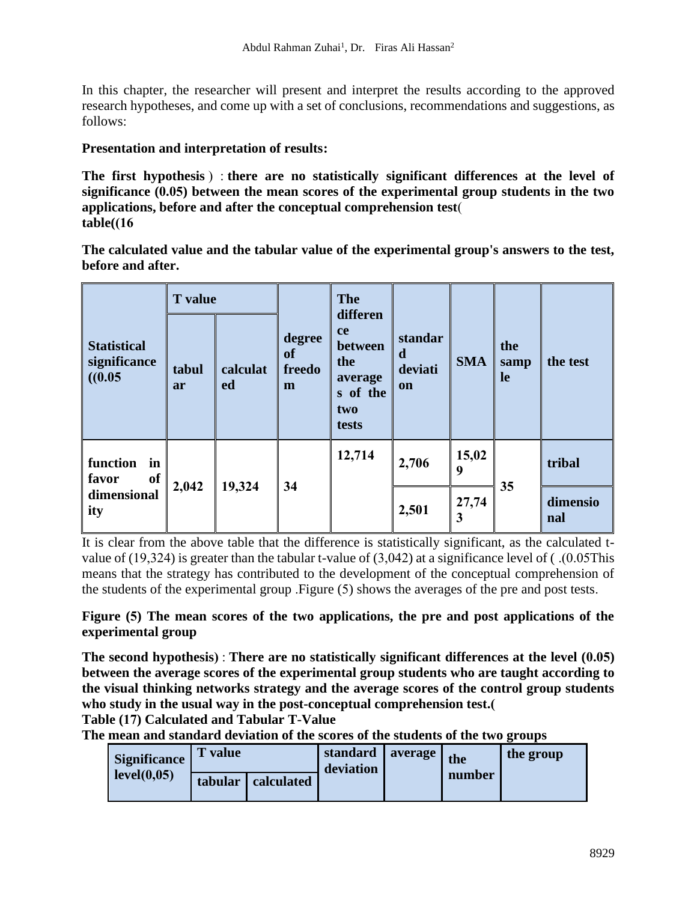In this chapter, the researcher will present and interpret the results according to the approved research hypotheses, and come up with a set of conclusions, recommendations and suggestions, as follows:

## **Presentation and interpretation of results :**

The first hypothesis) : there are no statistically significant differences at the level of **significance (0.05) between the mean scores of the experimental group students in the two applications, before and after the conceptual comprehension test**) **table( )16**

**The calculated value and the tabular value of the experimental group's answers to the test, before and after .**

|                                              | <b>T</b> value  |                | <b>The</b><br>differen      |                                                             |                                      |            |                   |                 |
|----------------------------------------------|-----------------|----------------|-----------------------------|-------------------------------------------------------------|--------------------------------------|------------|-------------------|-----------------|
| <b>Statistical</b><br>significance<br>(0.05) | tabul<br>ar     | calculat<br>ed | degree<br>of<br>freedo<br>m | ce<br>between<br>the<br>average<br>s of the<br>two<br>tests | standar<br>d<br>deviati<br><b>on</b> | <b>SMA</b> | the<br>samp<br>le | the test        |
| function<br>in<br>of<br>favor                |                 |                | 34                          | 12,714                                                      | 2,706                                | 15,02<br>9 |                   | tribal          |
| dimensional<br>ity                           | 19,324<br>2,042 |                |                             |                                                             | 2,501                                | 27,74<br>3 | 35                | dimensio<br>nal |

It is clear from the above table that the difference is statistically significant, as the calculated tvalue of (19,324) is greater than the tabular t-value of  $(3,042)$  at a significance level of (.0.05This means that the strategy has contributed to the development of the conceptual comprehension of the students of the experimental group .Figure (5) shows the averages of the pre and post tests .

**Figure (5) The mean scores of the two applications, the pre and post applications of the experimental group**

The second hypothesis): There are no statistically significant differences at the level (0.05) **between the average scores of the experimental group students who are taught according to the visual thinking networks strategy and the average scores of the control group students who study in the usual way in the post-conceptual comprehension test.)**

**Table (17) Calculated and Tabular T-Value**

**The mean and standard deviation of the scores of the students of the two groups**

| Significance | value   |            | standard<br>deviation | average | the    | the group |
|--------------|---------|------------|-----------------------|---------|--------|-----------|
| level(0,05)  | tabular | calculated |                       |         | number |           |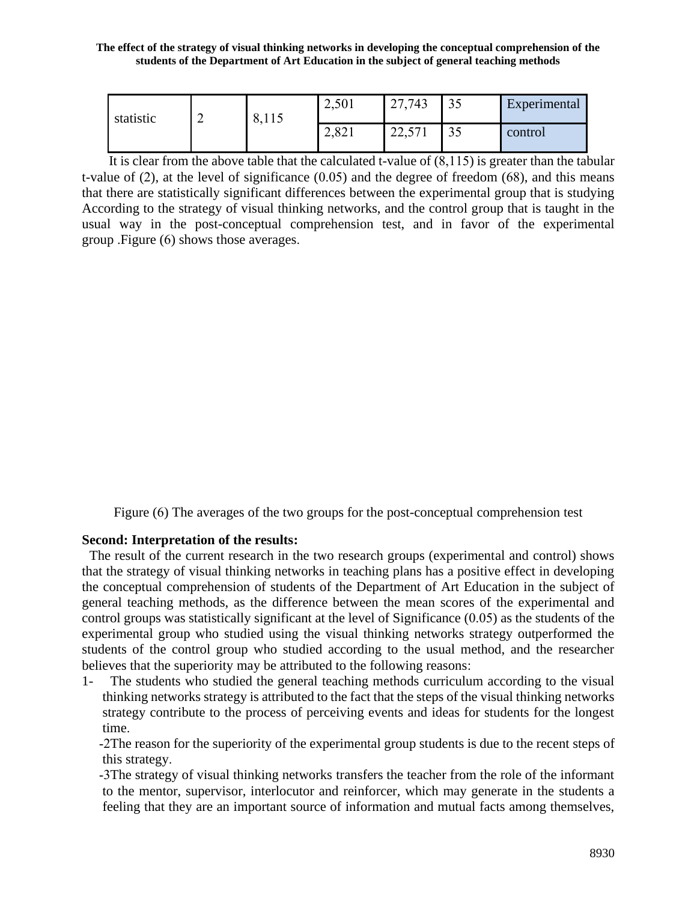| statistic | $\sim$<br>∼ | 0, 11 | 2,501 | 27,743              | 33  | Experimental |
|-----------|-------------|-------|-------|---------------------|-----|--------------|
|           |             |       | 2,021 | 571<br>ററ<br>22,011 | ں ر | control      |

It is clear from the above table that the calculated t-value of  $(8,115)$  is greater than the tabular t-value of (2), at the level of significance (0.05) and the degree of freedom (68), and this means that there are statistically significant differences between the experimental group that is studying According to the strategy of visual thinking networks, and the control group that is taught in the usual way in the post-conceptual comprehension test, and in favor of the experimental group .Figure (6) shows those averages .

Figure (6) The averages of the two groups for the post-conceptual comprehension test

#### **Second: Interpretation of the results :**

 The result of the current research in the two research groups (experimental and control) shows that the strategy of visual thinking networks in teaching plans has a positive effect in developing the conceptual comprehension of students of the Department of Art Education in the subject of general teaching methods, as the difference between the mean scores of the experimental and control groups was statistically significant at the level of Significance (0.05) as the students of the experimental group who studied using the visual thinking networks strategy outperformed the students of the control group who studied according to the usual method, and the researcher believes that the superiority may be attributed to the following reasons:

1- The students who studied the general teaching methods curriculum according to the visual thinking networks strategy is attributed to the fact that the steps of the visual thinking networks strategy contribute to the process of perceiving events and ideas for students for the longest time.

-2The reason for the superiority of the experimental group students is due to the recent steps of this strategy.

-3The strategy of visual thinking networks transfers the teacher from the role of the informant to the mentor, supervisor, interlocutor and reinforcer, which may generate in the students a feeling that they are an important source of information and mutual facts among themselves,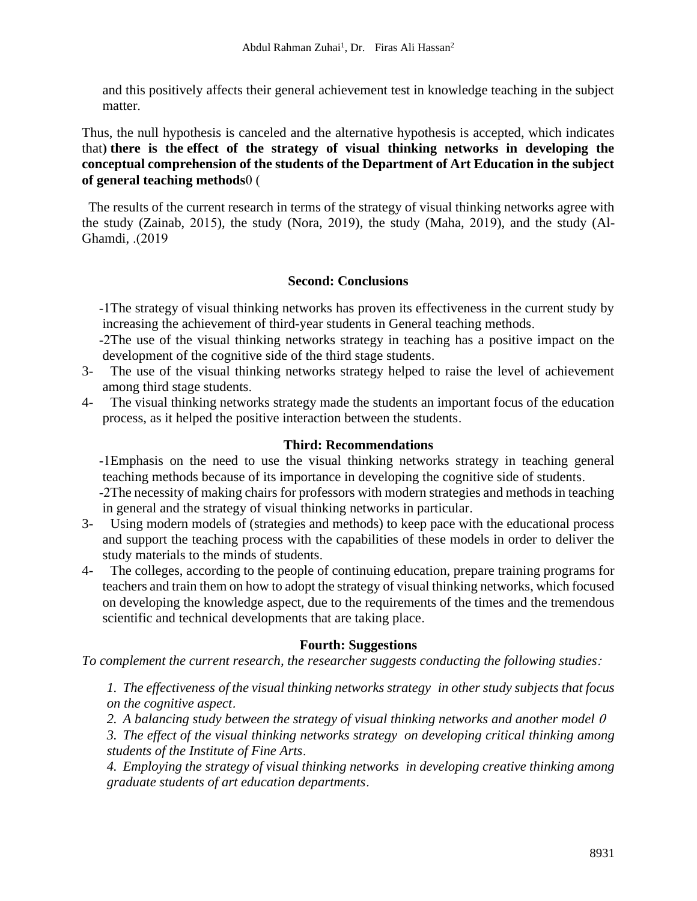and this positively affects their general achievement test in knowledge teaching in the subject matter.

Thus, the null hypothesis is canceled and the alternative hypothesis is accepted, which indicates that) there is the effect of the strategy of visual thinking networks in developing the **conceptual comprehension of the students of the Department of Art Education in the subject of general teaching methods**0 )

 The results of the current research in terms of the strategy of visual thinking networks agree with the study (Zainab, 2015), the study (Nora, 2019), the study (Maha, 2019), and the study (Al-Ghamdi, .(2019)

## **Second: Conclusions**

-1The strategy of visual thinking networks has proven its effectiveness in the current study by increasing the achievement of third-year students in General teaching methods.

- -2The use of the visual thinking networks strategy in teaching has a positive impact on the development of the cognitive side of the third stage students.
- 3- The use of the visual thinking networks strategy helped to raise the level of achievement among third stage students.
- 4- The visual thinking networks strategy made the students an important focus of the education process, as it helped the positive interaction between the students .

#### **Third: Recommendations**

-1Emphasis on the need to use the visual thinking networks strategy in teaching general teaching methods because of its importance in developing the cognitive side of students .

-2The necessity of making chairs for professors with modern strategies and methods in teaching in general and the strategy of visual thinking networks in particular .

- 3- Using modern models of (strategies and methods) to keep pace with the educational process and support the teaching process with the capabilities of these models in order to deliver the study materials to the minds of students.
- 4- The colleges, according to the people of continuing education, prepare training programs for teachers and train them on how to adopt the strategy of visual thinking networks, which focused on developing the knowledge aspect, due to the requirements of the times and the tremendous scientific and technical developments that are taking place.

## **Fourth: Suggestions**

*To complement the current research, the researcher suggests conducting the following studies* :

*1. The effectiveness of the visual thinking networks strategy in other study subjects that focus on the cognitive aspect* .

*2. A balancing study between the strategy of visual thinking networks and another model* <sup>0</sup>

*3. The effect of the visual thinking networks strategy on developing critical thinking among students of the Institute of Fine Arts*.

*4. Employing the strategy of visual thinking networks in developing creative thinking among graduate students of art education departments* .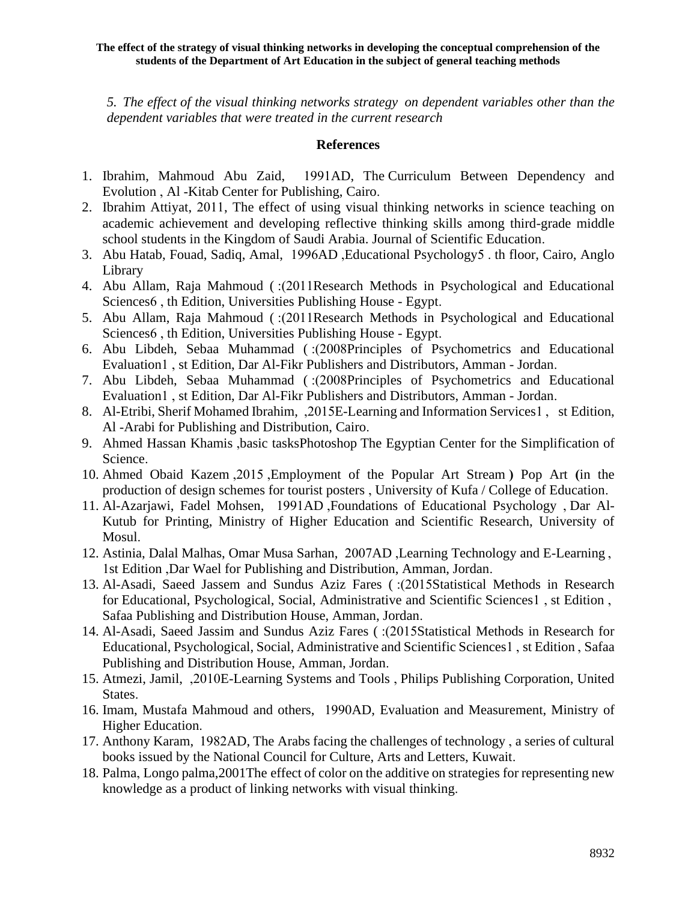*5. The effect of the visual thinking networks strategy on dependent variables other than the dependent variables that were treated in the current research*

## **References**

- 1. Ibrahim, Mahmoud Abu Zaid, 1991AD, The Curriculum Between Dependency and Evolution , Al -Kitab Center for Publishing, Cairo.
- 2. Ibrahim Attiyat, 2011, The effect of using visual thinking networks in science teaching on academic achievement and developing reflective thinking skills among third-grade middle school students in the Kingdom of Saudi Arabia. Journal of Scientific Education.
- 3. Abu Hatab, Fouad, Sadiq, Amal, 1996AD ,Educational Psychology5 . th floor, Cairo, Anglo Library
- 4. Abu Allam, Raja Mahmoud ( :)2011Research Methods in Psychological and Educational Sciences6, th Edition, Universities Publishing House - Egypt.
- 5. Abu Allam, Raja Mahmoud (:(2011Research Methods in Psychological and Educational Sciences6, th Edition, Universities Publishing House - Egypt.
- 6. Abu Libdeh, Sebaa Muhammad (:(2008Principles of Psychometrics and Educational Evaluation1 , st Edition, Dar Al-Fikr Publishers and Distributors, Amman - Jordan .
- 7. Abu Libdeh, Sebaa Muhammad ( :)2008Principles of Psychometrics and Educational Evaluation1 , st Edition, Dar Al-Fikr Publishers and Distributors, Amman - Jordan .
- 8. Al-Etribi, Sherif Mohamed Ibrahim, ,2015E-Learning and Information Services1 , st Edition, Al -Arabi for Publishing and Distribution, Cairo.
- 9. Ahmed Hassan Khamis ,basic tasksPhotoshop The Egyptian Center for the Simplification of Science.
- 10. Ahmed Obaid Kazem , 2015 , Employment of the Popular Art Stream and Pop Art (in the production of design schemes for tourist posters , University of Kufa / College of Education .
- 11. Al-Azarjawi, Fadel Mohsen, 1991AD ,Foundations of Educational Psychology , Dar Al-Kutub for Printing, Ministry of Higher Education and Scientific Research, University of Mosul.
- 12. Astinia, Dalal Malhas, Omar Musa Sarhan, 2007AD ,Learning Technology and E-Learning , 1st Edition ,Dar Wael for Publishing and Distribution, Amman, Jordan .
- 13. Al-Asadi, Saeed Jassem and Sundus Aziz Fares (: (2015 Statistical Methods in Research for Educational, Psychological, Social, Administrative and Scientific Sciences1 , st Edition , Safaa Publishing and Distribution House, Amman, Jordan .
- 14. Al-Asadi, Saeed Jassim and Sundus Aziz Fares (: (2015Statistical Methods in Research for Educational, Psychological, Social, Administrative and Scientific Sciences1 , st Edition , Safaa Publishing and Distribution House, Amman, Jordan.
- 15. Atmezi, Jamil, ,2010E-Learning Systems and Tools , Philips Publishing Corporation, United States.
- 16. Imam, Mustafa Mahmoud and others, 1990AD, Evaluation and Measurement, Ministry of Higher Education.
- 17. Anthony Karam, 1982AD, The Arabs facing the challenges of technology , a series of cultural books issued by the National Council for Culture, Arts and Letters, Kuwait.
- 18. Palma, Longo palma,2001The effect of color on the additive on strategies for representing new knowledge as a product of linking networks with visual thinking.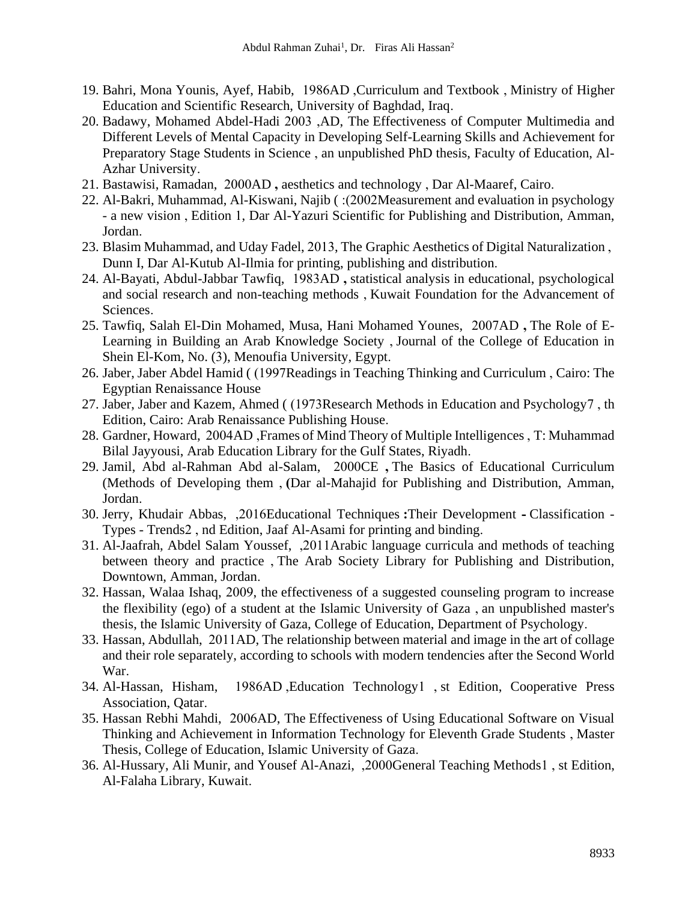- 19. Bahri, Mona Younis, Ayef, Habib, 1986AD ,Curriculum and Textbook , Ministry of Higher Education and Scientific Research, University of Baghdad, Iraq .
- 20. Badawy, Mohamed Abdel-Hadi 2003 ,AD, The Effectiveness of Computer Multimedia and Different Levels of Mental Capacity in Developing Self-Learning Skills and Achievement for Preparatory Stage Students in Science , an unpublished PhD thesis, Faculty of Education, Al-Azhar University.
- 21. Bastawisi, Ramadan, 2000AD **,** aesthetics and technology , Dar Al-Maaref, Cairo.
- 22. Al-Bakri, Muhammad, Al-Kiswani, Najib (: (2002Measurement and evaluation in psychology - a new vision , Edition 1, Dar Al-Yazuri Scientific for Publishing and Distribution, Amman, Jordan.
- 23. Blasim Muhammad, and Uday Fadel, 2013, The Graphic Aesthetics of Digital Naturalization , Dunn I, Dar Al-Kutub Al-Ilmia for printing, publishing and distribution.
- 24. Al-Bayati, Abdul-Jabbar Tawfiq, 1983AD **,** statistical analysis in educational, psychological and social research and non-teaching methods , Kuwait Foundation for the Advancement of Sciences.
- 25. Tawfiq, Salah El-Din Mohamed, Musa, Hani Mohamed Younes, 2007AD **,** The Role of E-Learning in Building an Arab Knowledge Society , Journal of the College of Education in Shein El-Kom, No. (3), Menoufia University, Egypt.
- 26. Jaber, Jaber Abdel Hamid ((1997Readings in Teaching Thinking and Curriculum, Cairo: The Egyptian Renaissance House
- 27. Jaber, Jaber and Kazem, Ahmed ((1973Research Methods in Education and Psychology7, th Edition, Cairo: Arab Renaissance Publishing House.
- 28. Gardner, Howard, 2004AD ,Frames of Mind Theory of Multiple Intelligences , T: Muhammad Bilal Jayyousi, Arab Education Library for the Gulf States, Riyadh.
- 29. Jamil, Abd al-Rahman Abd al-Salam, 2000CE **,** The Basics of Educational Curriculum (Methods of Developing them , (Dar al-Mahajid for Publishing and Distribution, Amman, Jordan.
- 30. Jerry, Khudair Abbas, ,2016Educational Techniques **:**Their Development **-** Classification Types - Trends2 , nd Edition, Jaaf Al-Asami for printing and binding .
- 31. Al-Jaafrah, Abdel Salam Youssef, ,2011Arabic language curricula and methods of teaching between theory and practice , The Arab Society Library for Publishing and Distribution, Downtown, Amman, Jordan.
- 32. Hassan, Walaa Ishaq, 2009, the effectiveness of a suggested counseling program to increase the flexibility (ego) of a student at the Islamic University of Gaza , an unpublished master's thesis, the Islamic University of Gaza, College of Education, Department of Psychology.
- 33. Hassan, Abdullah, 2011AD, The relationship between material and image in the art of collage and their role separately, according to schools with modern tendencies after the Second World War.
- 34. Al-Hassan, Hisham, 1986AD ,Education Technology1 , st Edition, Cooperative Press Association, Oatar.
- 35. Hassan Rebhi Mahdi, 2006AD, The Effectiveness of Using Educational Software on Visual Thinking and Achievement in Information Technology for Eleventh Grade Students , Master Thesis, College of Education, Islamic University of Gaza .
- 36. Al-Hussary, Ali Munir, and Yousef Al-Anazi, ,2000General Teaching Methods1 , st Edition, Al-Falaha Library, Kuwait.